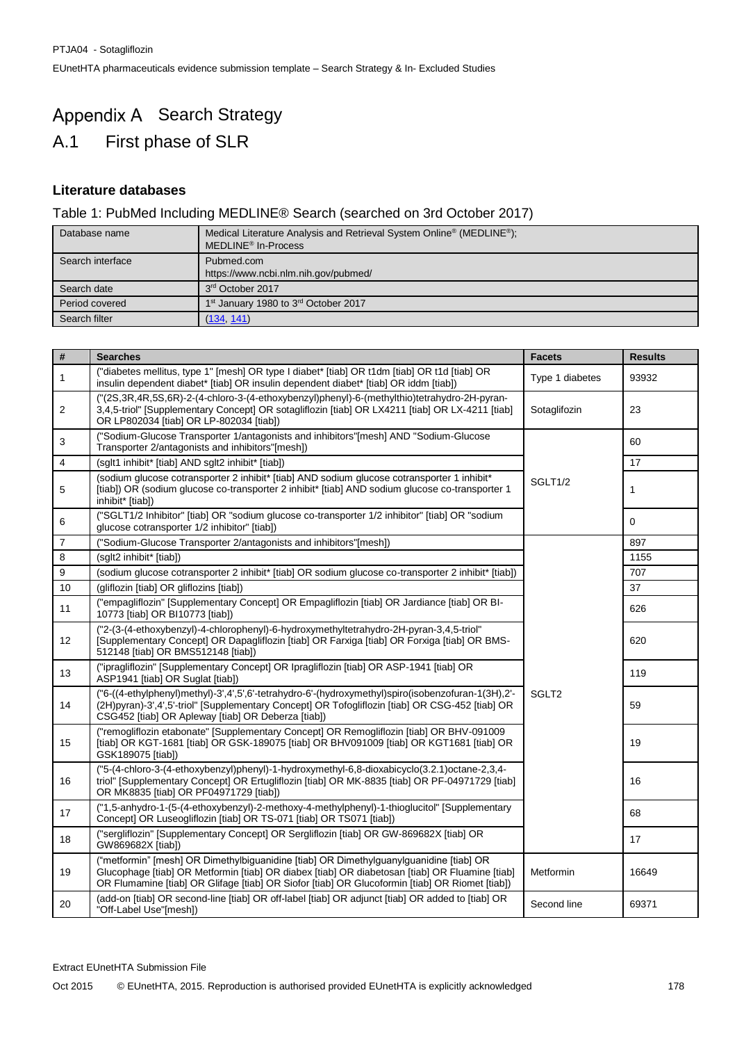# Appendix A Search Strategy A.1 First phase of SLR

## **Literature databases**

## Table 1: PubMed Including MEDLINE® Search (searched on 3rd October 2017)

| Database name    | Medical Literature Analysis and Retrieval System Online <sup>®</sup> (MEDLINE <sup>®</sup> );<br>MEDLINE <sup>®</sup> In-Process |
|------------------|----------------------------------------------------------------------------------------------------------------------------------|
| Search interface | Pubmed.com                                                                                                                       |
|                  | https://www.ncbi.nlm.nih.gov/pubmed/                                                                                             |
| Search date      | 3rd October 2017                                                                                                                 |
| Period covered   | 1 <sup>st</sup> January 1980 to 3 <sup>rd</sup> October 2017                                                                     |
| Search filter    | (134, 141)                                                                                                                       |

| $\overline{\boldsymbol{t}}$ | <b>Searches</b>                                                                                                                                                                                                                                                                            | <b>Facets</b>     | <b>Results</b> |
|-----------------------------|--------------------------------------------------------------------------------------------------------------------------------------------------------------------------------------------------------------------------------------------------------------------------------------------|-------------------|----------------|
| $\mathbf{1}$                | ("diabetes mellitus, type 1" [mesh] OR type I diabet* [tiab] OR t1dm [tiab] OR t1d [tiab] OR<br>insulin dependent diabet* [tiab] OR insulin dependent diabet* [tiab] OR iddm [tiab])                                                                                                       | Type 1 diabetes   | 93932          |
| 2                           | ("(2S,3R,4R,5S,6R)-2-(4-chloro-3-(4-ethoxybenzyl)phenyl)-6-(methylthio)tetrahydro-2H-pyran-<br>3,4,5-triol" [Supplementary Concept] OR sotagliflozin [tiab] OR LX4211 [tiab] OR LX-4211 [tiab]<br>OR LP802034 [tiab] OR LP-802034 [tiab])                                                  | Sotaglifozin      | 23             |
| 3                           | ("Sodium-Glucose Transporter 1/antagonists and inhibitors"[mesh] AND "Sodium-Glucose<br>Transporter 2/antagonists and inhibitors"[mesh])                                                                                                                                                   |                   | 60             |
| 4                           | (sglt1 inhibit* [tiab] AND sglt2 inhibit* [tiab])                                                                                                                                                                                                                                          |                   | 17             |
| 5                           | (sodium glucose cotransporter 2 inhibit* [tiab] AND sodium glucose cotransporter 1 inhibit*<br>[tiab]) OR (sodium glucose co-transporter 2 inhibit* [tiab] AND sodium glucose co-transporter 1<br>inhibit* [tiab])                                                                         | SGLT1/2           | 1              |
| 6                           | ("SGLT1/2 Inhibitor" [tiab] OR "sodium glucose co-transporter 1/2 inhibitor" [tiab] OR "sodium<br>glucose cotransporter 1/2 inhibitor" [tiab])                                                                                                                                             |                   | $\mathbf 0$    |
| $\overline{7}$              | ("Sodium-Glucose Transporter 2/antagonists and inhibitors"[mesh])                                                                                                                                                                                                                          |                   | 897            |
| 8                           | (sglt2 inhibit* [tiab])                                                                                                                                                                                                                                                                    |                   | 1155           |
| 9                           | (sodium glucose cotransporter 2 inhibit* [tiab] OR sodium glucose co-transporter 2 inhibit* [tiab])                                                                                                                                                                                        |                   | 707            |
| 10                          | (gliflozin [tiab] OR gliflozins [tiab])                                                                                                                                                                                                                                                    |                   | 37             |
| 11                          | ("empagliflozin" [Supplementary Concept] OR Empagliflozin [tiab] OR Jardiance [tiab] OR BI-<br>10773 [tiab] OR BI10773 [tiab])                                                                                                                                                             |                   | 626            |
| 12 <sup>2</sup>             | ("2-(3-(4-ethoxybenzyl)-4-chlorophenyl)-6-hydroxymethyltetrahydro-2H-pyran-3,4,5-triol"<br>[Supplementary Concept] OR Dapagliflozin [tiab] OR Farxiga [tiab] OR Forxiga [tiab] OR BMS-<br>512148 [tiab] OR BMS512148 [tiab])                                                               |                   | 620            |
| 13                          | ("ipragliflozin" [Supplementary Concept] OR Ipragliflozin [tiab] OR ASP-1941 [tiab] OR<br>ASP1941 [tiab] OR Suglat [tiab])                                                                                                                                                                 |                   | 119            |
| 14                          | ("6-((4-ethylphenyl)methyl)-3',4',5',6'-tetrahydro-6'-(hydroxymethyl)spiro(isobenzofuran-1(3H),2'-<br>(2H)pyran)-3',4',5'-triol" [Supplementary Concept] OR Tofogliflozin [tiab] OR CSG-452 [tiab] OR<br>CSG452 [tiab] OR Apleway [tiab] OR Deberza [tiab])                                | SGLT <sub>2</sub> | 59             |
| 15                          | ("remogliflozin etabonate" [Supplementary Concept] OR Remogliflozin [tiab] OR BHV-091009<br>[tiab] OR KGT-1681 [tiab] OR GSK-189075 [tiab] OR BHV091009 [tiab] OR KGT1681 [tiab] OR<br>GSK189075 [tiab])                                                                                   |                   | 19             |
| 16                          | ("5-(4-chloro-3-(4-ethoxybenzyl)phenyl)-1-hydroxymethyl-6,8-dioxabicyclo(3.2.1)octane-2,3,4-<br>triol" [Supplementary Concept] OR Ertugliflozin [tiab] OR MK-8835 [tiab] OR PF-04971729 [tiab]<br>OR MK8835 [tiab] OR PF04971729 [tiab])                                                   |                   | 16             |
| 17                          | ("1,5-anhydro-1-(5-(4-ethoxybenzyl)-2-methoxy-4-methylphenyl)-1-thioglucitol" [Supplementary<br>Concept] OR Luseogliflozin [tiab] OR TS-071 [tiab] OR TS071 [tiab])                                                                                                                        |                   | 68             |
| 18                          | ("sergliflozin" [Supplementary Concept] OR Sergliflozin [tiab] OR GW-869682X [tiab] OR<br>GW869682X [tiab])                                                                                                                                                                                |                   | 17             |
| 19                          | ("metformin" [mesh] OR Dimethylbiguanidine [tiab] OR Dimethylguanylguanidine [tiab] OR<br>Glucophage [tiab] OR Metformin [tiab] OR diabex [tiab] OR diabetosan [tiab] OR Fluamine [tiab]<br>OR Flumamine [tiab] OR Glifage [tiab] OR Siofor [tiab] OR Glucoformin [tiab] OR Riomet [tiab]) | Metformin         | 16649          |
| 20                          | (add-on [tiab] OR second-line [tiab] OR off-label [tiab] OR adjunct [tiab] OR added to [tiab] OR<br>"Off-Label Use"[mesh])                                                                                                                                                                 | Second line       | 69371          |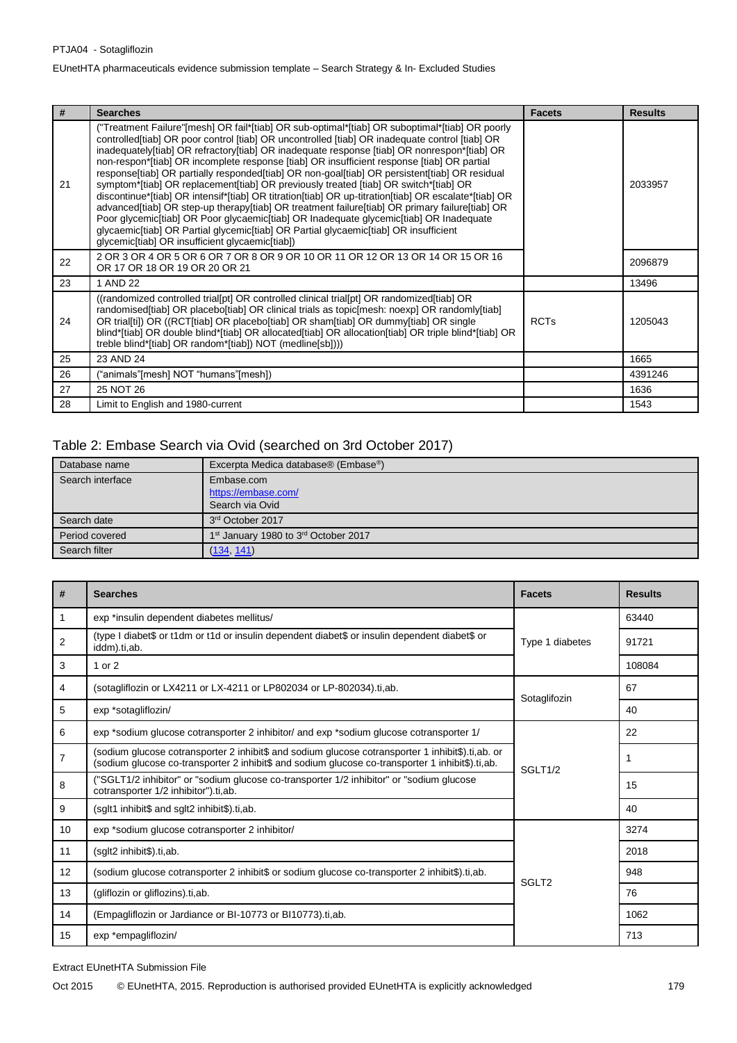| #  | <b>Searches</b>                                                                                                                                                                                                                                                                                                                                                                                                                                                                                                                                                                                                                                                                                                                                                                                                                                                                                                                                                                                                                        | <b>Facets</b> | <b>Results</b> |
|----|----------------------------------------------------------------------------------------------------------------------------------------------------------------------------------------------------------------------------------------------------------------------------------------------------------------------------------------------------------------------------------------------------------------------------------------------------------------------------------------------------------------------------------------------------------------------------------------------------------------------------------------------------------------------------------------------------------------------------------------------------------------------------------------------------------------------------------------------------------------------------------------------------------------------------------------------------------------------------------------------------------------------------------------|---------------|----------------|
| 21 | ("Treatment Failure"[mesh] OR fail*[tiab] OR sub-optimal*[tiab] OR suboptimal*[tiab] OR poorly<br>controlled [tiab] OR poor control [tiab] OR uncontrolled [tiab] OR inadequate control [tiab] OR<br>inadequately[tiab] OR refractory[tiab] OR inadequate response [tiab] OR nonrespon*[tiab] OR<br>non-respon*[tiab] OR incomplete response [tiab] OR insufficient response [tiab] OR partial<br>response[tiab] OR partially responded[tiab] OR non-goal[tiab] OR persistent[tiab] OR residual<br>symptom*[tiab] OR replacement[tiab] OR previously treated [tiab] OR switch*[tiab] OR<br>discontinue*[tiab] OR intensif*[tiab] OR titration[tiab] OR up-titration[tiab] OR escalate*[tiab] OR<br>advanced[tiab] OR step-up therapy[tiab] OR treatment failure[tiab] OR primary failure[tiab] OR<br>Poor glycemic[tiab] OR Poor glycaemic[tiab] OR Inadequate glycemic[tiab] OR Inadequate<br>glycaemic[tiab] OR Partial glycemic[tiab] OR Partial glycaemic[tiab] OR insufficient<br>glycemic[tiab] OR insufficient glycaemic[tiab]) |               | 2033957        |
| 22 | 2 OR 3 OR 4 OR 5 OR 6 OR 7 OR 8 OR 9 OR 10 OR 11 OR 12 OR 13 OR 14 OR 15 OR 16<br>OR 17 OR 18 OR 19 OR 20 OR 21                                                                                                                                                                                                                                                                                                                                                                                                                                                                                                                                                                                                                                                                                                                                                                                                                                                                                                                        |               | 2096879        |
| 23 | 1 AND 22                                                                                                                                                                                                                                                                                                                                                                                                                                                                                                                                                                                                                                                                                                                                                                                                                                                                                                                                                                                                                               |               | 13496          |
| 24 | ((randomized controlled trial[pt] OR controlled clinical trial[pt] OR randomized[tiab] OR<br>randomised[tiab] OR placebo[tiab] OR clinical trials as topic[mesh: noexp] OR randomly[tiab]<br>OR trial[ti]) OR ((RCT[tiab] OR placebo[tiab] OR sham[tiab] OR dummy[tiab] OR single<br>blind*[tiab] OR double blind*[tiab] OR allocated[tiab] OR allocation[tiab] OR triple blind*[tiab] OR<br>treble blind*[tiab] OR random*[tiab]) NOT (medline[sb])))                                                                                                                                                                                                                                                                                                                                                                                                                                                                                                                                                                                 | <b>RCTs</b>   | 1205043        |
| 25 | 23 AND 24                                                                                                                                                                                                                                                                                                                                                                                                                                                                                                                                                                                                                                                                                                                                                                                                                                                                                                                                                                                                                              |               | 1665           |
| 26 | "animals"[mesh] NOT "humans"[mesh])                                                                                                                                                                                                                                                                                                                                                                                                                                                                                                                                                                                                                                                                                                                                                                                                                                                                                                                                                                                                    |               | 4391246        |
| 27 | 25 NOT 26                                                                                                                                                                                                                                                                                                                                                                                                                                                                                                                                                                                                                                                                                                                                                                                                                                                                                                                                                                                                                              |               | 1636           |
| 28 | Limit to English and 1980-current                                                                                                                                                                                                                                                                                                                                                                                                                                                                                                                                                                                                                                                                                                                                                                                                                                                                                                                                                                                                      |               | 1543           |

# Table 2: Embase Search via Ovid (searched on 3rd October 2017)

| Database name    | Excerpta Medica database® (Embase®)                          |
|------------------|--------------------------------------------------------------|
| Search interface | Embase.com                                                   |
|                  | https://embase.com/                                          |
|                  | Search via Ovid                                              |
| Search date      | 3rd October 2017                                             |
| Period covered   | 1 <sup>st</sup> January 1980 to 3 <sup>rd</sup> October 2017 |
| Search filter    | (134, 141)                                                   |

| #  | <b>Searches</b>                                                                                                                                                                                       | <b>Facets</b>       | <b>Results</b> |
|----|-------------------------------------------------------------------------------------------------------------------------------------------------------------------------------------------------------|---------------------|----------------|
|    | exp *insulin dependent diabetes mellitus/                                                                                                                                                             |                     | 63440          |
| 2  | (type I diabet\$ or t1dm or t1d or insulin dependent diabet\$ or insulin dependent diabet\$ or<br>iddm).ti,ab.                                                                                        | Type 1 diabetes     | 91721          |
| 3  | 1 or 2                                                                                                                                                                                                |                     | 108084         |
| 4  | (sotagliflozin or LX4211 or LX-4211 or LP802034 or LP-802034).ti.ab.                                                                                                                                  | Sotaglifozin        | 67             |
| 5  | exp *sotagliflozin/                                                                                                                                                                                   |                     | 40             |
| 6  | exp *sodium glucose cotransporter 2 inhibitor/ and exp *sodium glucose cotransporter 1/                                                                                                               |                     | 22             |
| 7  | (sodium glucose cotransporter 2 inhibit\$ and sodium glucose cotransporter 1 inhibit\$).ti,ab. or<br>(sodium glucose co-transporter 2 inhibit\$ and sodium glucose co-transporter 1 inhibit\$).ti,ab. | SGLT <sub>1/2</sub> | 1              |
| 8  | ("SGLT1/2 inhibitor" or "sodium glucose co-transporter 1/2 inhibitor" or "sodium glucose<br>cotransporter 1/2 inhibitor").ti,ab.                                                                      |                     | 15             |
| 9  | (sglt1 inhibit\$ and sglt2 inhibit\$).ti,ab.                                                                                                                                                          |                     | 40             |
| 10 | exp *sodium glucose cotransporter 2 inhibitor/                                                                                                                                                        |                     | 3274           |
| 11 | (sglt2 inhibit\$).ti,ab.                                                                                                                                                                              |                     | 2018           |
| 12 | (sodium glucose cotransporter 2 inhibit\$ or sodium glucose co-transporter 2 inhibit\$).ti,ab.                                                                                                        | SGLT <sub>2</sub>   | 948            |
| 13 | (gliflozin or gliflozins).ti,ab.                                                                                                                                                                      |                     | 76             |
| 14 | (Empagliflozin or Jardiance or BI-10773 or BI10773).ti,ab.                                                                                                                                            |                     | 1062           |
| 15 | exp *empagliflozin/                                                                                                                                                                                   |                     | 713            |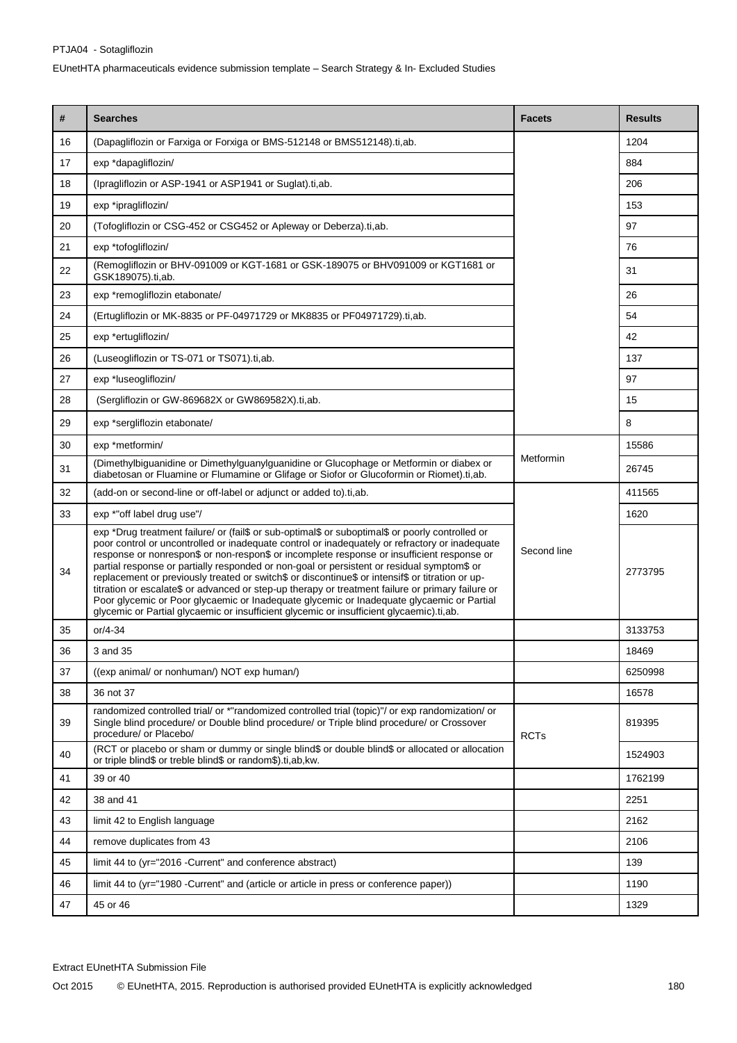| #  | <b>Searches</b>                                                                                                                                                                                                                                                                                                                                                                                                                                                                                                                                                                                                                                                                                                                                                                                  | <b>Facets</b> | <b>Results</b> |
|----|--------------------------------------------------------------------------------------------------------------------------------------------------------------------------------------------------------------------------------------------------------------------------------------------------------------------------------------------------------------------------------------------------------------------------------------------------------------------------------------------------------------------------------------------------------------------------------------------------------------------------------------------------------------------------------------------------------------------------------------------------------------------------------------------------|---------------|----------------|
| 16 | (Dapagliflozin or Farxiga or Forxiga or BMS-512148 or BMS512148).ti,ab.                                                                                                                                                                                                                                                                                                                                                                                                                                                                                                                                                                                                                                                                                                                          |               | 1204           |
| 17 | exp *dapagliflozin/                                                                                                                                                                                                                                                                                                                                                                                                                                                                                                                                                                                                                                                                                                                                                                              |               | 884            |
| 18 | (Ipragliflozin or ASP-1941 or ASP1941 or Suglat).ti,ab.                                                                                                                                                                                                                                                                                                                                                                                                                                                                                                                                                                                                                                                                                                                                          |               | 206            |
| 19 | exp *ipragliflozin/                                                                                                                                                                                                                                                                                                                                                                                                                                                                                                                                                                                                                                                                                                                                                                              |               | 153            |
| 20 | (Tofogliflozin or CSG-452 or CSG452 or Apleway or Deberza).ti,ab.                                                                                                                                                                                                                                                                                                                                                                                                                                                                                                                                                                                                                                                                                                                                |               | 97             |
| 21 | exp *tofogliflozin/                                                                                                                                                                                                                                                                                                                                                                                                                                                                                                                                                                                                                                                                                                                                                                              |               | 76             |
| 22 | (Remogliflozin or BHV-091009 or KGT-1681 or GSK-189075 or BHV091009 or KGT1681 or<br>GSK189075).ti,ab.                                                                                                                                                                                                                                                                                                                                                                                                                                                                                                                                                                                                                                                                                           |               | 31             |
| 23 | exp *remogliflozin etabonate/                                                                                                                                                                                                                                                                                                                                                                                                                                                                                                                                                                                                                                                                                                                                                                    |               | 26             |
| 24 | (Ertugliflozin or MK-8835 or PF-04971729 or MK8835 or PF04971729).ti,ab.                                                                                                                                                                                                                                                                                                                                                                                                                                                                                                                                                                                                                                                                                                                         |               | 54             |
| 25 | exp *ertugliflozin/                                                                                                                                                                                                                                                                                                                                                                                                                                                                                                                                                                                                                                                                                                                                                                              |               | 42             |
| 26 | (Luseogliflozin or TS-071 or TS071).ti,ab.                                                                                                                                                                                                                                                                                                                                                                                                                                                                                                                                                                                                                                                                                                                                                       |               | 137            |
| 27 | exp *luseogliflozin/                                                                                                                                                                                                                                                                                                                                                                                                                                                                                                                                                                                                                                                                                                                                                                             |               | 97             |
| 28 | (Sergliflozin or GW-869682X or GW869582X).ti,ab.                                                                                                                                                                                                                                                                                                                                                                                                                                                                                                                                                                                                                                                                                                                                                 |               | 15             |
| 29 | exp *sergliflozin etabonate/                                                                                                                                                                                                                                                                                                                                                                                                                                                                                                                                                                                                                                                                                                                                                                     |               | 8              |
| 30 | exp *metformin/                                                                                                                                                                                                                                                                                                                                                                                                                                                                                                                                                                                                                                                                                                                                                                                  |               | 15586          |
| 31 | (Dimethylbiguanidine or Dimethylguanylguanidine or Glucophage or Metformin or diabex or<br>diabetosan or Fluamine or Flumamine or Glifage or Siofor or Glucoformin or Riomet).ti,ab.                                                                                                                                                                                                                                                                                                                                                                                                                                                                                                                                                                                                             | Metformin     | 26745          |
| 32 | (add-on or second-line or off-label or adjunct or added to).ti,ab.                                                                                                                                                                                                                                                                                                                                                                                                                                                                                                                                                                                                                                                                                                                               |               | 411565         |
| 33 | exp *"off label drug use"/                                                                                                                                                                                                                                                                                                                                                                                                                                                                                                                                                                                                                                                                                                                                                                       |               | 1620           |
| 34 | exp *Drug treatment failure/ or (fail\$ or sub-optimal\$ or suboptimal\$ or poorly controlled or<br>poor control or uncontrolled or inadequate control or inadequately or refractory or inadequate<br>response or nonrespon\$ or non-respon\$ or incomplete response or insufficient response or<br>partial response or partially responded or non-goal or persistent or residual symptom\$ or<br>replacement or previously treated or switch\$ or discontinue\$ or intensif\$ or titration or up-<br>titration or escalate\$ or advanced or step-up therapy or treatment failure or primary failure or<br>Poor glycemic or Poor glycaemic or Inadequate glycemic or Inadequate glycaemic or Partial<br>glycemic or Partial glycaemic or insufficient glycemic or insufficient glycaemic).ti,ab. | Second line   | 2773795        |
| 35 | $or/4-34$                                                                                                                                                                                                                                                                                                                                                                                                                                                                                                                                                                                                                                                                                                                                                                                        |               | 3133753        |
| 36 | 3 and 35                                                                                                                                                                                                                                                                                                                                                                                                                                                                                                                                                                                                                                                                                                                                                                                         |               | 18469          |
| 37 | ((exp animal/ or nonhuman/) NOT exp human/)                                                                                                                                                                                                                                                                                                                                                                                                                                                                                                                                                                                                                                                                                                                                                      |               | 6250998        |
| 38 | 36 not 37                                                                                                                                                                                                                                                                                                                                                                                                                                                                                                                                                                                                                                                                                                                                                                                        |               | 16578          |
| 39 | randomized controlled trial/ or *"randomized controlled trial (topic)"/ or exp randomization/ or<br>Single blind procedure/ or Double blind procedure/ or Triple blind procedure/ or Crossover<br>procedure/ or Placebo/                                                                                                                                                                                                                                                                                                                                                                                                                                                                                                                                                                         | <b>RCTs</b>   | 819395         |
| 40 | (RCT or placebo or sham or dummy or single blind\$ or double blind\$ or allocated or allocation<br>or triple blind\$ or treble blind\$ or random\$).ti,ab,kw.                                                                                                                                                                                                                                                                                                                                                                                                                                                                                                                                                                                                                                    |               | 1524903        |
| 41 | 39 or 40                                                                                                                                                                                                                                                                                                                                                                                                                                                                                                                                                                                                                                                                                                                                                                                         |               | 1762199        |
| 42 | 38 and 41                                                                                                                                                                                                                                                                                                                                                                                                                                                                                                                                                                                                                                                                                                                                                                                        |               | 2251           |
| 43 | limit 42 to English language                                                                                                                                                                                                                                                                                                                                                                                                                                                                                                                                                                                                                                                                                                                                                                     |               | 2162           |
| 44 | remove duplicates from 43                                                                                                                                                                                                                                                                                                                                                                                                                                                                                                                                                                                                                                                                                                                                                                        |               | 2106           |
| 45 | limit 44 to (yr="2016 -Current" and conference abstract)                                                                                                                                                                                                                                                                                                                                                                                                                                                                                                                                                                                                                                                                                                                                         |               | 139            |
| 46 | limit 44 to (yr="1980 -Current" and (article or article in press or conference paper))                                                                                                                                                                                                                                                                                                                                                                                                                                                                                                                                                                                                                                                                                                           |               | 1190           |
| 47 | 45 or 46                                                                                                                                                                                                                                                                                                                                                                                                                                                                                                                                                                                                                                                                                                                                                                                         |               | 1329           |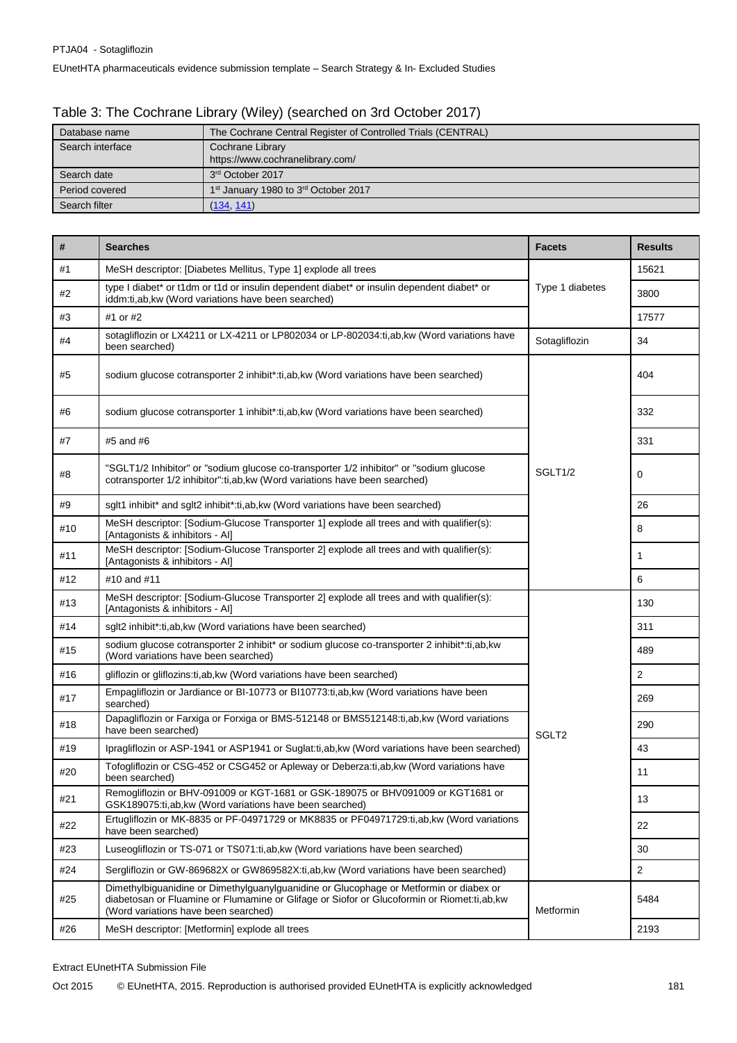| Table 3: The Cochrane Library (Wiley) (searched on 3rd October 2017) |  |
|----------------------------------------------------------------------|--|
|                                                                      |  |

| Database name    | The Cochrane Central Register of Controlled Trials (CENTRAL) |
|------------------|--------------------------------------------------------------|
| Search interface | Cochrane Library                                             |
|                  | https://www.cochranelibrary.com/                             |
| Search date      | 3 <sup>rd</sup> October 2017                                 |
| Period covered   | 1 <sup>st</sup> January 1980 to 3 <sup>rd</sup> October 2017 |
| Search filter    | (134, 141)                                                   |

| #   | <b>Searches</b>                                                                                                                                                                                                               | <b>Facets</b>     | <b>Results</b> |
|-----|-------------------------------------------------------------------------------------------------------------------------------------------------------------------------------------------------------------------------------|-------------------|----------------|
| #1  | MeSH descriptor: [Diabetes Mellitus, Type 1] explode all trees                                                                                                                                                                |                   | 15621          |
| #2  | type I diabet* or t1dm or t1d or insulin dependent diabet* or insulin dependent diabet* or<br>iddm:ti,ab,kw (Word variations have been searched)                                                                              | Type 1 diabetes   | 3800           |
| #3  | #1 or #2                                                                                                                                                                                                                      |                   | 17577          |
| #4  | sotagliflozin or LX4211 or LX-4211 or LP802034 or LP-802034:ti,ab,kw (Word variations have<br>been searched)                                                                                                                  | Sotagliflozin     | 34             |
| #5  | sodium glucose cotransporter 2 inhibit*:ti,ab, kw (Word variations have been searched)                                                                                                                                        |                   | 404            |
| #6  | sodium glucose cotransporter 1 inhibit*:ti.ab.kw (Word variations have been searched)                                                                                                                                         |                   | 332            |
| #7  | #5 and #6                                                                                                                                                                                                                     |                   | 331            |
| #8  | "SGLT1/2 Inhibitor" or "sodium glucose co-transporter 1/2 inhibitor" or "sodium glucose<br>cotransporter 1/2 inhibitor":ti,ab,kw (Word variations have been searched)                                                         | SGLT1/2           | 0              |
| #9  | sglt1 inhibit* and sglt2 inhibit*:ti,ab,kw (Word variations have been searched)                                                                                                                                               |                   | 26             |
| #10 | MeSH descriptor: [Sodium-Glucose Transporter 1] explode all trees and with qualifier(s):<br>[Antagonists & inhibitors - Al]                                                                                                   |                   | 8              |
| #11 | MeSH descriptor: [Sodium-Glucose Transporter 2] explode all trees and with qualifier(s):<br>[Antagonists & inhibitors - Al]                                                                                                   |                   | 1              |
| #12 | #10 and #11                                                                                                                                                                                                                   |                   | 6              |
| #13 | MeSH descriptor: [Sodium-Glucose Transporter 2] explode all trees and with qualifier(s):<br>[Antagonists & inhibitors - Al]                                                                                                   |                   | 130            |
| #14 | sglt2 inhibit*:ti,ab,kw (Word variations have been searched)                                                                                                                                                                  |                   | 311            |
| #15 | sodium glucose cotransporter 2 inhibit* or sodium glucose co-transporter 2 inhibit*:ti,ab,kw<br>(Word variations have been searched)                                                                                          |                   | 489            |
| #16 | gliflozin or gliflozins: ti, ab, kw (Word variations have been searched)                                                                                                                                                      |                   | $\overline{2}$ |
| #17 | Empagliflozin or Jardiance or BI-10773 or BI10773:ti,ab, kw (Word variations have been<br>searched)                                                                                                                           |                   | 269            |
| #18 | Dapagliflozin or Farxiga or Forxiga or BMS-512148 or BMS512148:ti,ab, kw (Word variations<br>have been searched)                                                                                                              | SGLT <sub>2</sub> | 290            |
| #19 | Ipragliflozin or ASP-1941 or ASP1941 or Suglat:ti,ab,kw (Word variations have been searched)                                                                                                                                  |                   | 43             |
| #20 | Tofogliflozin or CSG-452 or CSG452 or Apleway or Deberza:ti,ab, kw (Word variations have<br>been searched)                                                                                                                    |                   | 11             |
| #21 | Remogliflozin or BHV-091009 or KGT-1681 or GSK-189075 or BHV091009 or KGT1681 or<br>GSK189075:ti,ab, kw (Word variations have been searched)                                                                                  |                   | 13             |
| #22 | Ertugliflozin or MK-8835 or PF-04971729 or MK8835 or PF04971729:ti,ab,kw (Word variations<br>have been searched)                                                                                                              |                   | 22             |
| #23 | Luseogliflozin or TS-071 or TS071:ti, ab, kw (Word variations have been searched)                                                                                                                                             |                   | 30             |
| #24 | Sergliflozin or GW-869682X or GW869582X:ti,ab,kw (Word variations have been searched)                                                                                                                                         |                   | $\overline{2}$ |
| #25 | Dimethylbiguanidine or Dimethylguanylguanidine or Glucophage or Metformin or diabex or<br>diabetosan or Fluamine or Flumamine or Glifage or Siofor or Glucoformin or Riomet:ti,ab, kw<br>(Word variations have been searched) | Metformin         | 5484           |
| #26 | MeSH descriptor: [Metformin] explode all trees                                                                                                                                                                                |                   | 2193           |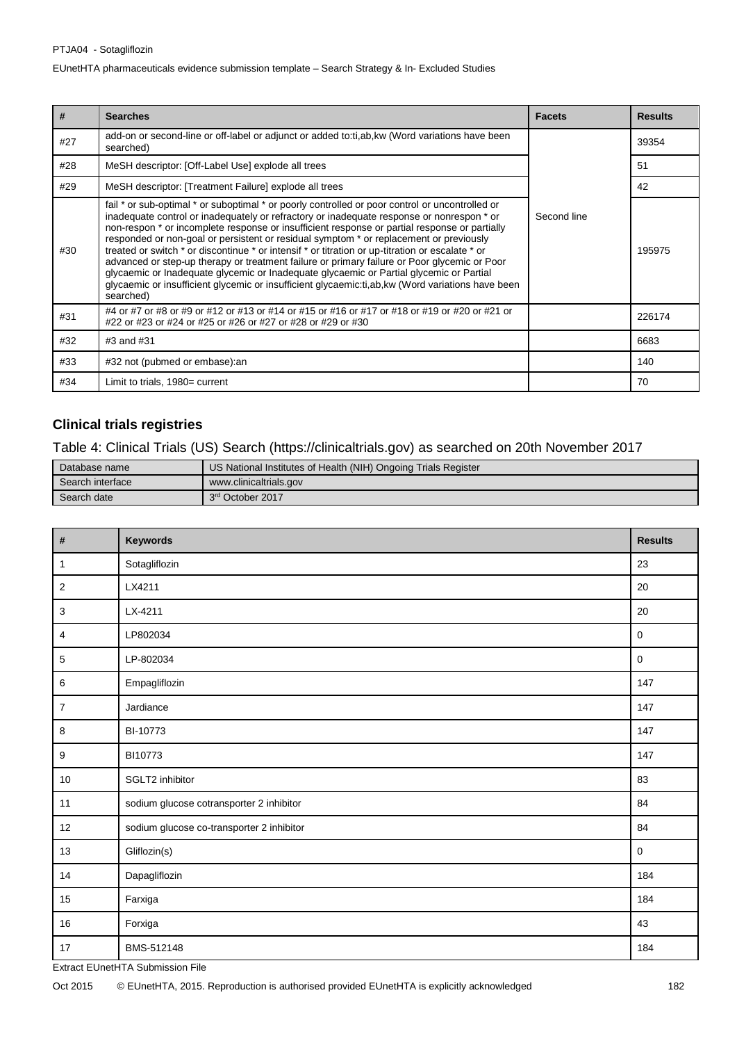#### PTJA04 - Sotagliflozin

EUnetHTA pharmaceuticals evidence submission template – Search Strategy & In- Excluded Studies

| #   | <b>Searches</b>                                                                                                                                                                                                                                                                                                                                                                                                                                                                                                                                                                                                                                                                                                                                                                                          | <b>Facets</b> | <b>Results</b> |
|-----|----------------------------------------------------------------------------------------------------------------------------------------------------------------------------------------------------------------------------------------------------------------------------------------------------------------------------------------------------------------------------------------------------------------------------------------------------------------------------------------------------------------------------------------------------------------------------------------------------------------------------------------------------------------------------------------------------------------------------------------------------------------------------------------------------------|---------------|----------------|
| #27 | add-on or second-line or off-label or adjunct or added to:ti,ab, kw (Word variations have been<br>searched)                                                                                                                                                                                                                                                                                                                                                                                                                                                                                                                                                                                                                                                                                              |               | 39354          |
| #28 | MeSH descriptor: [Off-Label Use] explode all trees                                                                                                                                                                                                                                                                                                                                                                                                                                                                                                                                                                                                                                                                                                                                                       |               | 51             |
| #29 | MeSH descriptor: [Treatment Failure] explode all trees                                                                                                                                                                                                                                                                                                                                                                                                                                                                                                                                                                                                                                                                                                                                                   |               | 42             |
| #30 | fail * or sub-optimal * or suboptimal * or poorly controlled or poor control or uncontrolled or<br>inadequate control or inadequately or refractory or inadequate response or nonrespon * or<br>non-respon * or incomplete response or insufficient response or partial response or partially<br>responded or non-goal or persistent or residual symptom * or replacement or previously<br>treated or switch * or discontinue * or intensif * or titration or up-titration or escalate * or<br>advanced or step-up therapy or treatment failure or primary failure or Poor glycemic or Poor<br>glycaemic or Inadequate glycemic or Inadequate glycaemic or Partial glycemic or Partial<br>glycaemic or insufficient glycemic or insufficient glycaemic:ti,ab, kw (Word variations have been<br>searched) | Second line   | 195975         |
| #31 | #4 or #7 or #8 or #9 or #12 or #13 or #14 or #15 or #16 or #17 or #18 or #19 or #20 or #21 or<br>#22 or #23 or #24 or #25 or #26 or #27 or #28 or #29 or #30                                                                                                                                                                                                                                                                                                                                                                                                                                                                                                                                                                                                                                             |               | 226174         |
| #32 | #3 and #31                                                                                                                                                                                                                                                                                                                                                                                                                                                                                                                                                                                                                                                                                                                                                                                               |               | 6683           |
| #33 | #32 not (pubmed or embase): an                                                                                                                                                                                                                                                                                                                                                                                                                                                                                                                                                                                                                                                                                                                                                                           |               | 140            |
| #34 | Limit to trials, 1980= current                                                                                                                                                                                                                                                                                                                                                                                                                                                                                                                                                                                                                                                                                                                                                                           |               | 70             |

## **Clinical trials registries**

Table 4: Clinical Trials (US) Search [\(https://clinicaltrials.gov\)](https://clinicaltrials.gov/) as searched on 20th November 2017

| Database name    | US National Institutes of Health (NIH) Ongoing Trials Register |
|------------------|----------------------------------------------------------------|
| Search interface | www.clinicaltrials.gov                                         |
| Search date      | 3 <sup>rd</sup> October 2017                                   |

| $\overline{\mathbf{r}}$   | <b>Keywords</b>                           | <b>Results</b>      |
|---------------------------|-------------------------------------------|---------------------|
| 1                         | Sotagliflozin                             | 23                  |
| $\sqrt{2}$                | LX4211                                    | 20                  |
| $\ensuremath{\mathsf{3}}$ | LX-4211                                   | 20                  |
| 4                         | LP802034                                  | $\mathbf 0$         |
| $\sqrt{5}$                | LP-802034                                 | $\mathsf{O}\xspace$ |
| $\,6\,$                   | Empagliflozin                             | 147                 |
| $\boldsymbol{7}$          | Jardiance                                 | 147                 |
| $\bf 8$                   | BI-10773                                  | 147                 |
| $9\,$                     | BI10773                                   | 147                 |
| 10                        | SGLT2 inhibitor                           | 83                  |
| 11                        | sodium glucose cotransporter 2 inhibitor  | 84                  |
| 12                        | sodium glucose co-transporter 2 inhibitor | 84                  |
| 13                        | Gliflozin(s)                              | $\mathsf{O}\xspace$ |
| 14                        | Dapagliflozin                             | 184                 |
| 15                        | Farxiga                                   | 184                 |
| 16                        | Forxiga                                   | 43                  |
| $17$                      | BMS-512148                                | 184                 |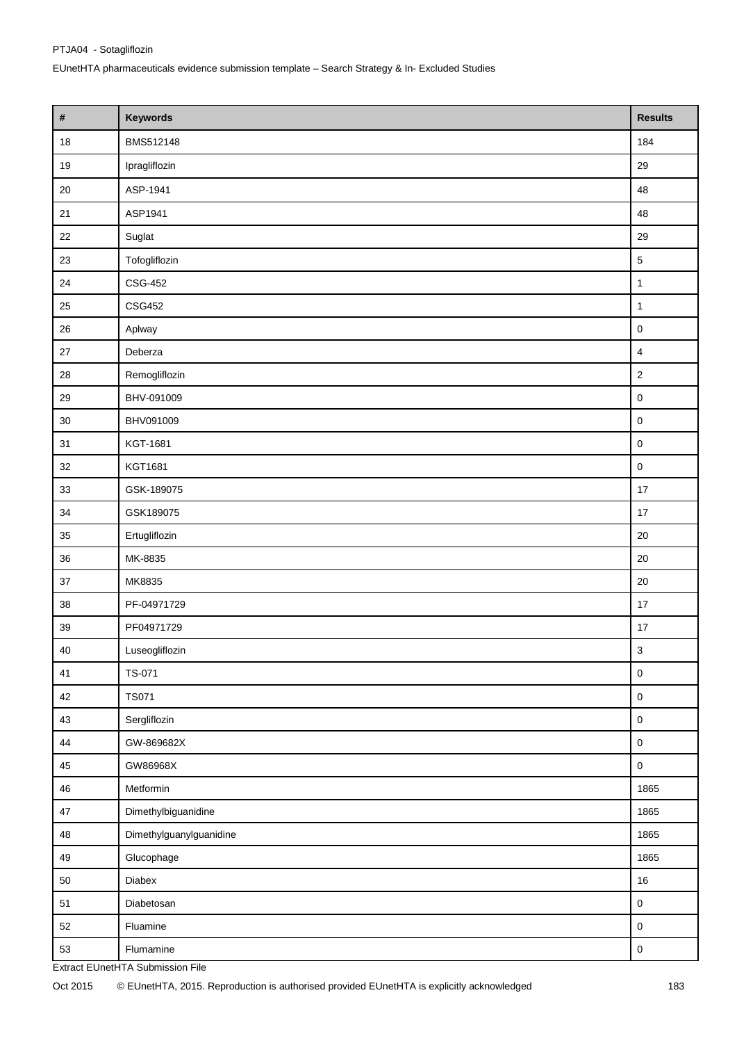| $\pmb{\#}$  | <b>Keywords</b>                  | <b>Results</b>          |
|-------------|----------------------------------|-------------------------|
| $18\,$      | BMS512148                        | 184                     |
| 19          | Ipragliflozin                    | 29                      |
| $20\,$      | ASP-1941                         | 48                      |
| 21          | ASP1941                          | 48                      |
| $22\,$      | Suglat                           | 29                      |
| 23          | Tofogliflozin                    | $\sqrt{5}$              |
| 24          | CSG-452                          | $\mathbf{1}$            |
| 25          | CSG452                           | $\mathbf{1}$            |
| $26\,$      | Aplway                           | $\mathbf 0$             |
| $27\,$      | Deberza                          | $\overline{\mathbf{4}}$ |
| 28          | Remogliflozin                    | $\overline{c}$          |
| 29          | BHV-091009                       | $\pmb{0}$               |
| $30\,$      | BHV091009                        | $\mathsf 0$             |
| 31          | KGT-1681                         | $\mathsf 0$             |
| 32          | KGT1681                          | $\mathsf{O}\xspace$     |
| 33          | GSK-189075                       | 17                      |
| 34          | GSK189075                        | $17\,$                  |
| 35          | Ertugliflozin                    | 20                      |
| 36          | MK-8835                          | 20                      |
| 37          | MK8835                           | 20                      |
| 38          | PF-04971729                      | 17                      |
| 39          | PF04971729                       | 17                      |
| 40          | Luseogliflozin                   | $\mathsf 3$             |
| 41          | TS-071                           | $\pmb{0}$               |
| 42          | <b>TS071</b>                     | $\mathbf 0$             |
| $43\,$      | Sergliflozin                     | $\mathbf 0$             |
| 44          | GW-869682X                       | $\mathbf 0$             |
| $\sqrt{45}$ | GW86968X                         | $\mathsf 0$             |
| 46          | Metformin                        | 1865                    |
| 47          | Dimethylbiguanidine              | 1865                    |
| 48          | Dimethylguanylguanidine          | 1865                    |
| 49          | Glucophage                       | 1865                    |
| 50          | Diabex                           | 16                      |
| $51$        | Diabetosan                       | $\mathbf 0$             |
| 52          | Fluamine                         | $\pmb{0}$               |
| 53          | Flumamine                        | $\mathbf 0$             |
|             | Extract EUnetHTA Submission File |                         |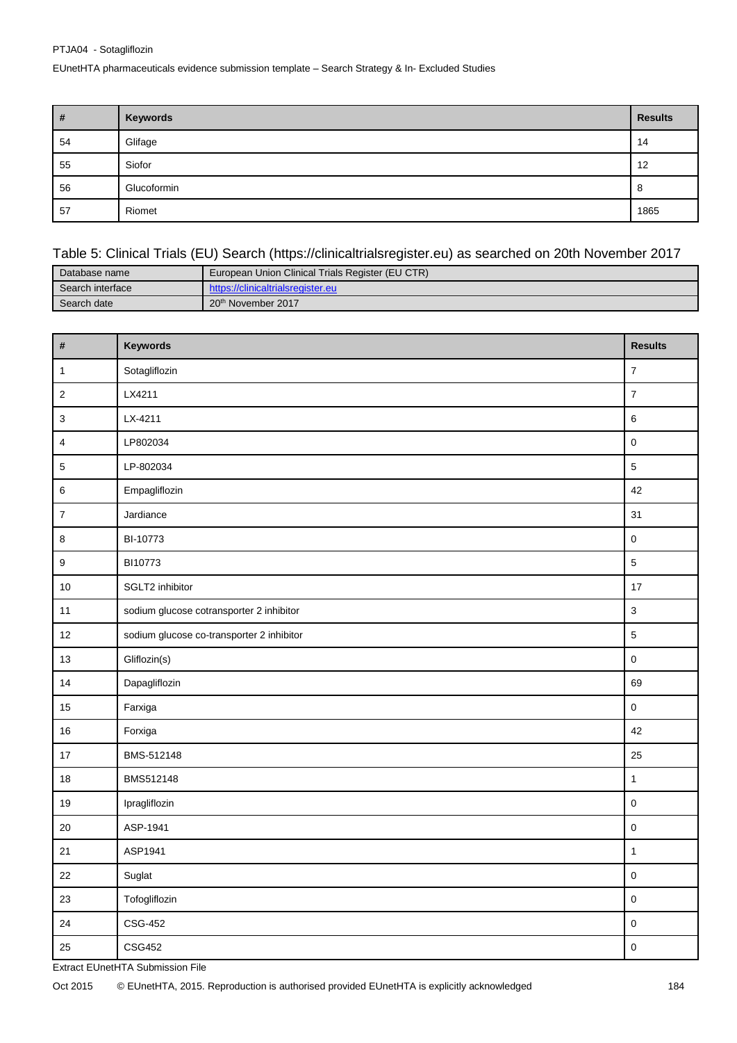PTJA04 - Sotagliflozin

EUnetHTA pharmaceuticals evidence submission template – Search Strategy & In- Excluded Studies

| $\vert$ # | Keywords    | <b>Results</b> |
|-----------|-------------|----------------|
| 54        | Glifage     | 14             |
| 55        | Siofor      | 12             |
| 56        | Glucoformin | 8              |
| 57        | Riomet      | 1865           |

## Table 5: Clinical Trials (EU) Search [\(https://clinicaltrialsregister.eu\)](https://clinicaltrialsregister.eu/) as searched on 20th November 2017

| Database name    | European Union Clinical Trials Register (EU CTR) |
|------------------|--------------------------------------------------|
| Search interface | https://clinicaltrialsregister.eu                |
| Search date      | 20 <sup>th</sup> November 2017                   |

| Keywords                                  | <b>Results</b>   |
|-------------------------------------------|------------------|
| Sotagliflozin                             | $\boldsymbol{7}$ |
| LX4211                                    | $\overline{7}$   |
| LX-4211                                   | $\,6\,$          |
| LP802034                                  | $\mathsf 0$      |
| LP-802034                                 | $\overline{5}$   |
| Empagliflozin                             | 42               |
| Jardiance                                 | 31               |
| BI-10773                                  | $\pmb{0}$        |
| BI10773                                   | $\sqrt{5}$       |
| SGLT2 inhibitor                           | 17               |
| sodium glucose cotransporter 2 inhibitor  | $\mathbf{3}$     |
| sodium glucose co-transporter 2 inhibitor | 5                |
| Gliflozin(s)                              | $\pmb{0}$        |
| Dapagliflozin                             | 69               |
| Farxiga                                   | $\mathsf 0$      |
| Forxiga                                   | 42               |
| BMS-512148                                | 25               |
| BMS512148                                 | $\mathbf{1}$     |
| Ipragliflozin                             | $\mathsf 0$      |
| ASP-1941                                  | $\pmb{0}$        |
| ASP1941                                   | $\mathbf{1}$     |
| Suglat                                    | $\pmb{0}$        |
| Tofogliflozin                             | $\pmb{0}$        |
| CSG-452                                   | $\mathbf 0$      |
| <b>CSG452</b>                             | $\mathsf 0$      |
|                                           |                  |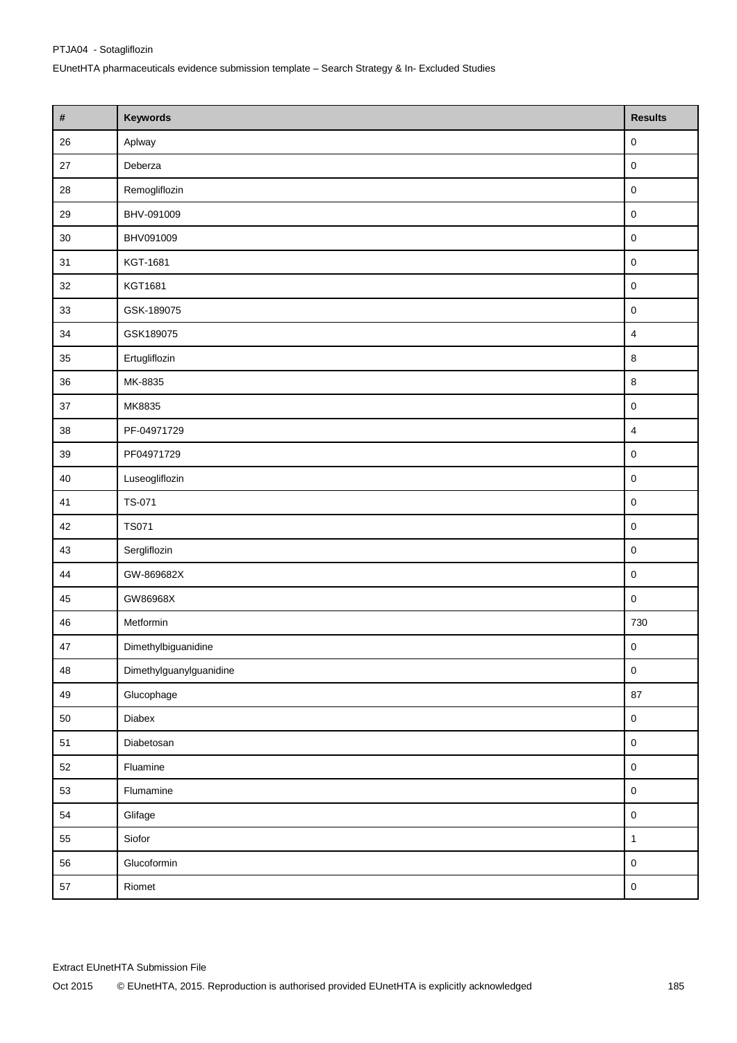| $\pmb{\#}$ | Keywords                | <b>Results</b>          |
|------------|-------------------------|-------------------------|
| 26         | Aplway                  | 0                       |
| $27\,$     | Deberza                 | $\pmb{0}$               |
| 28         | Remogliflozin           | $\pmb{0}$               |
| 29         | BHV-091009              | 0                       |
| $30\,$     | BHV091009               | $\mathsf 0$             |
| 31         | KGT-1681                | $\pmb{0}$               |
| 32         | KGT1681                 | $\pmb{0}$               |
| 33         | GSK-189075              | $\pmb{0}$               |
| 34         | GSK189075               | $\overline{\mathbf{4}}$ |
| 35         | Ertugliflozin           | 8                       |
| 36         | MK-8835                 | $\bf8$                  |
| $37\,$     | MK8835                  | $\pmb{0}$               |
| $38\,$     | PF-04971729             | $\overline{4}$          |
| 39         | PF04971729              | $\pmb{0}$               |
| 40         | Luseogliflozin          | $\pmb{0}$               |
| 41         | TS-071                  | $\mathsf{O}\xspace$     |
| 42         | <b>TS071</b>            | $\pmb{0}$               |
| 43         | Sergliflozin            | $\pmb{0}$               |
| 44         | GW-869682X              | $\pmb{0}$               |
| 45         | GW86968X                | $\pmb{0}$               |
| 46         | Metformin               | 730                     |
| $47\,$     | Dimethylbiguanidine     | 0                       |
| 48         | Dimethylguanylguanidine | $\mathsf{O}\xspace$     |
| 49         | Glucophage              | $87\,$                  |
| $50\,$     | Diabex                  | $\mathbf 0$             |
| $51$       | Diabetosan              | $\mathsf{O}\xspace$     |
| 52         | Fluamine                | $\mathsf{O}\xspace$     |
| 53         | Flumamine               | $\mathsf 0$             |
| 54         | Glifage                 | $\mathsf{O}\xspace$     |
| 55         | Siofor                  | $\mathbf{1}$            |
| 56         | Glucoformin             | $\mathsf{O}\xspace$     |
| 57         | Riomet                  | $\mathsf{O}\xspace$     |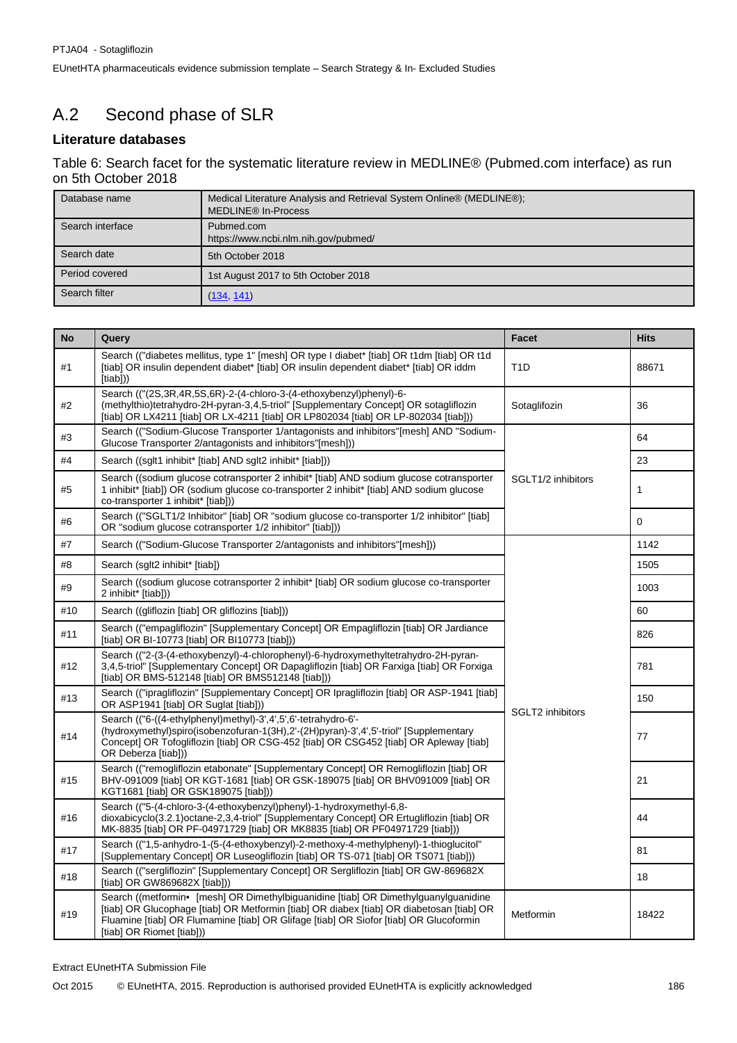# A.2 Second phase of SLR

## **Literature databases**

Table 6: Search facet for the systematic literature review in MEDLINE® (Pubmed.com interface) as run on 5th October 2018

| Database name    | Medical Literature Analysis and Retrieval System Online® (MEDLINE®);<br>MEDLINE <sup>®</sup> In-Process |
|------------------|---------------------------------------------------------------------------------------------------------|
| Search interface | Pubmed.com<br>https://www.ncbi.nlm.nih.gov/pubmed/                                                      |
| Search date      | 5th October 2018                                                                                        |
| Period covered   | 1st August 2017 to 5th October 2018                                                                     |
| Search filter    | (134, 141)                                                                                              |

| <b>No</b> | Query                                                                                                                                                                                                                                                                                                 | Facet                   | <b>Hits</b>  |
|-----------|-------------------------------------------------------------------------------------------------------------------------------------------------------------------------------------------------------------------------------------------------------------------------------------------------------|-------------------------|--------------|
| #1        | Search (("diabetes mellitus, type 1" [mesh] OR type I diabet* [tiab] OR t1dm [tiab] OR t1d<br>[tiab] OR insulin dependent diabet* [tiab] OR insulin dependent diabet* [tiab] OR iddm<br>[tiab]))                                                                                                      | T <sub>1</sub> D        | 88671        |
| #2        | Search (("(2S,3R,4R,5S,6R)-2-(4-chloro-3-(4-ethoxybenzyl)phenyl)-6-<br>(methylthio)tetrahydro-2H-pyran-3,4,5-triol" [Supplementary Concept] OR sotagliflozin<br>[tiab] OR LX4211 [tiab] OR LX-4211 [tiab] OR LP802034 [tiab] OR LP-802034 [tiab]))                                                    | Sotaglifozin            | 36           |
| #3        | Search (("Sodium-Glucose Transporter 1/antagonists and inhibitors"[mesh] AND "Sodium-<br>Glucose Transporter 2/antagonists and inhibitors"[mesh]))                                                                                                                                                    |                         | 64           |
| #4        | Search ((sglt1 inhibit* [tiab] AND sglt2 inhibit* [tiab]))                                                                                                                                                                                                                                            |                         | 23           |
| #5        | Search ((sodium glucose cotransporter 2 inhibit* [tiab] AND sodium glucose cotransporter<br>1 inhibit* [tiab]) OR (sodium glucose co-transporter 2 inhibit* [tiab] AND sodium glucose<br>co-transporter 1 inhibit* [tiab]))                                                                           | SGLT1/2 inhibitors      | $\mathbf{1}$ |
| #6        | Search (("SGLT1/2 Inhibitor" [tiab] OR "sodium glucose co-transporter 1/2 inhibitor" [tiab]<br>OR "sodium glucose cotransporter 1/2 inhibitor" [tiab]))                                                                                                                                               |                         | $\Omega$     |
| #7        | Search (("Sodium-Glucose Transporter 2/antagonists and inhibitors"[mesh]))                                                                                                                                                                                                                            |                         | 1142         |
| #8        | Search (sglt2 inhibit* [tiab])                                                                                                                                                                                                                                                                        |                         | 1505         |
| #9        | Search ((sodium glucose cotransporter 2 inhibit* [tiab] OR sodium glucose co-transporter<br>2 inhibit* [tiab]))                                                                                                                                                                                       |                         | 1003         |
| #10       | Search ((gliflozin [tiab] OR gliflozins [tiab]))                                                                                                                                                                                                                                                      |                         | 60           |
| #11       | Search (("empagliflozin" [Supplementary Concept] OR Empagliflozin [tiab] OR Jardiance<br>[tiab] OR BI-10773 [tiab] OR BI10773 [tiab]))                                                                                                                                                                |                         | 826          |
| #12       | Search (("2-(3-(4-ethoxybenzyl)-4-chlorophenyl)-6-hydroxymethyltetrahydro-2H-pyran-<br>3,4,5-triol" [Supplementary Concept] OR Dapagliflozin [tiab] OR Farxiga [tiab] OR Forxiga<br>[tiab] OR BMS-512148 [tiab] OR BMS512148 [tiab]))                                                                 |                         | 781          |
| #13       | Search (("ipragliflozin" [Supplementary Concept] OR Ipragliflozin [tiab] OR ASP-1941 [tiab]<br>OR ASP1941 [tiab] OR Suglat [tiab]))                                                                                                                                                                   |                         | 150          |
| #14       | Search (("6-((4-ethylphenyl)methyl)-3',4',5',6'-tetrahydro-6'-<br>(hydroxymethyl)spiro(isobenzofuran-1(3H),2'-(2H)pyran)-3',4',5'-triol" [Supplementary<br>Concept] OR Tofogliflozin [tiab] OR CSG-452 [tiab] OR CSG452 [tiab] OR Apleway [tiab]<br>OR Deberza [tiab]))                               | <b>SGLT2</b> inhibitors | 77           |
| #15       | Search (("remogliflozin etabonate" [Supplementary Concept] OR Remogliflozin [tiab] OR<br>BHV-091009 [tiab] OR KGT-1681 [tiab] OR GSK-189075 [tiab] OR BHV091009 [tiab] OR<br>KGT1681 [tiab] OR GSK189075 [tiab]))                                                                                     |                         | 21           |
| #16       | Search (("5-(4-chloro-3-(4-ethoxybenzyl)phenyl)-1-hydroxymethyl-6,8-<br>dioxabicyclo(3.2.1)octane-2,3,4-triol" [Supplementary Concept] OR Ertugliflozin [tiab] OR<br>MK-8835 [tiab] OR PF-04971729 [tiab] OR MK8835 [tiab] OR PF04971729 [tiab]))                                                     |                         | 44           |
| #17       | Search (("1,5-anhydro-1-(5-(4-ethoxybenzyl)-2-methoxy-4-methylphenyl)-1-thioglucitol"<br>[Supplementary Concept] OR Luseogliflozin [tiab] OR TS-071 [tiab] OR TS071 [tiab]))                                                                                                                          |                         | 81           |
| #18       | Search (("sergliflozin" [Supplementary Concept] OR Sergliflozin [tiab] OR GW-869682X<br>[tiab] OR GW869682X [tiab]))                                                                                                                                                                                  |                         | 18           |
| #19       | Search ((metformin• [mesh] OR Dimethylbiguanidine [tiab] OR Dimethylguanylguanidine<br>[tiab] OR Glucophage [tiab] OR Metformin [tiab] OR diabex [tiab] OR diabetosan [tiab] OR<br>Fluamine [tiab] OR Flumamine [tiab] OR Glifage [tiab] OR Siofor [tiab] OR Glucoformin<br>[tiab] OR Riomet [tiab])) | Metformin               | 18422        |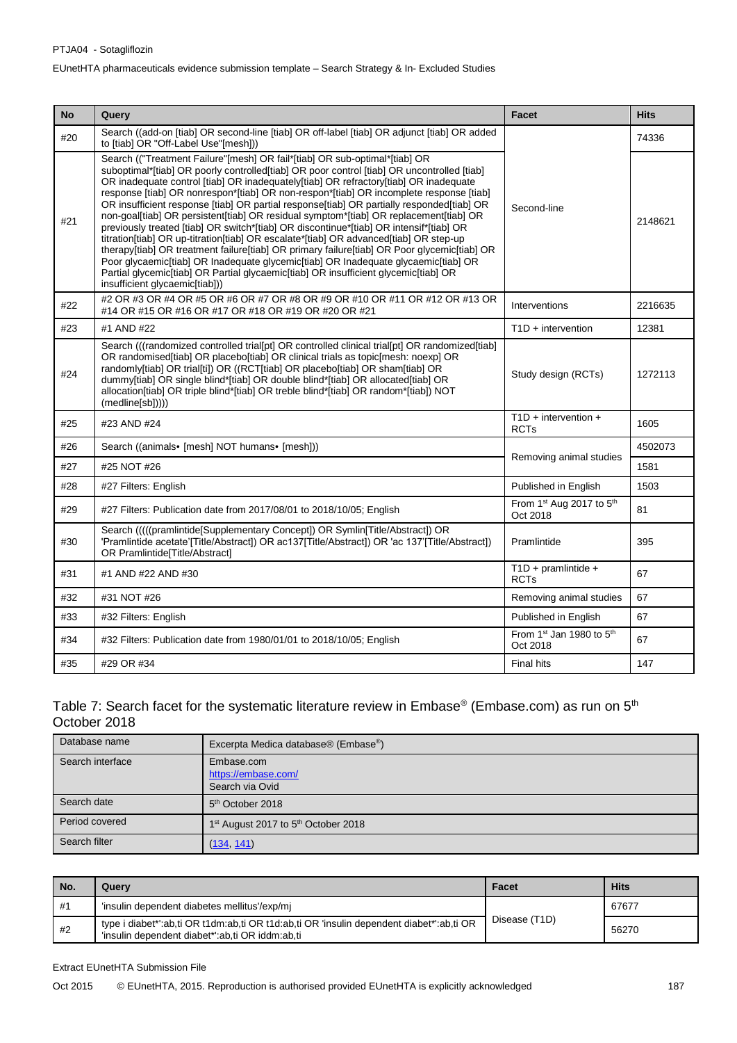| <b>No</b> | Query                                                                                                                                                                                                                                                                                                                                                                                                                                                                                                                                                                                                                                                                                                                                                                                                                                                                                                                                                                                                                                             | Facet                                    | <b>Hits</b> |
|-----------|---------------------------------------------------------------------------------------------------------------------------------------------------------------------------------------------------------------------------------------------------------------------------------------------------------------------------------------------------------------------------------------------------------------------------------------------------------------------------------------------------------------------------------------------------------------------------------------------------------------------------------------------------------------------------------------------------------------------------------------------------------------------------------------------------------------------------------------------------------------------------------------------------------------------------------------------------------------------------------------------------------------------------------------------------|------------------------------------------|-------------|
| #20       | Search ((add-on [tiab] OR second-line [tiab] OR off-label [tiab] OR adjunct [tiab] OR added<br>to [tiab] OR "Off-Label Use"[mesh]))                                                                                                                                                                                                                                                                                                                                                                                                                                                                                                                                                                                                                                                                                                                                                                                                                                                                                                               |                                          | 74336       |
| #21       | Search (("Treatment Failure"[mesh] OR fail*[tiab] OR sub-optimal*[tiab] OR<br>suboptimal*[tiab] OR poorly controlled[tiab] OR poor control [tiab] OR uncontrolled [tiab]<br>OR inadequate control [tiab] OR inadequately[tiab] OR refractory[tiab] OR inadequate<br>response [tiab] OR nonrespon*[tiab] OR non-respon*[tiab] OR incomplete response [tiab]<br>OR insufficient response [tiab] OR partial response[tiab] OR partially responded[tiab] OR<br>non-goal[tiab] OR persistent[tiab] OR residual symptom*[tiab] OR replacement[tiab] OR<br>previously treated [tiab] OR switch*[tiab] OR discontinue*[tiab] OR intensif*[tiab] OR<br>titration[tiab] OR up-titration[tiab] OR escalate*[tiab] OR advanced[tiab] OR step-up<br>therapy[tiab] OR treatment failure[tiab] OR primary failure[tiab] OR Poor glycemic[tiab] OR<br>Poor glycaemic[tiab] OR Inadequate glycemic[tiab] OR Inadequate glycaemic[tiab] OR<br>Partial glycemic[tiab] OR Partial glycaemic[tiab] OR insufficient glycemic[tiab] OR<br>insufficient glycaemic[tiab])) | Second-line                              | 2148621     |
| #22       | #2 OR #3 OR #4 OR #5 OR #6 OR #7 OR #8 OR #9 OR #10 OR #11 OR #12 OR #13 OR<br>#14 OR #15 OR #16 OR #17 OR #18 OR #19 OR #20 OR #21                                                                                                                                                                                                                                                                                                                                                                                                                                                                                                                                                                                                                                                                                                                                                                                                                                                                                                               | Interventions                            | 2216635     |
| #23       | #1 AND #22                                                                                                                                                                                                                                                                                                                                                                                                                                                                                                                                                                                                                                                                                                                                                                                                                                                                                                                                                                                                                                        | $T1D +$ intervention                     | 12381       |
| #24       | Search (((randomized controlled trial[pt] OR controlled clinical trial[pt] OR randomized[tiab]<br>OR randomised [tiab] OR placebo [tiab] OR clinical trials as topic [mesh: noexp] OR<br>randomly[tiab] OR trial[ti]) OR ((RCT[tiab] OR placebo[tiab] OR sham[tiab] OR<br>dummy[tiab] OR single blind*[tiab] OR double blind*[tiab] OR allocated[tiab] OR<br>allocation[tiab] OR triple blind*[tiab] OR treble blind*[tiab] OR random*[tiab]) NOT<br>(medline[sb]))))                                                                                                                                                                                                                                                                                                                                                                                                                                                                                                                                                                             | Study design (RCTs)                      | 1272113     |
| #25       | #23 AND #24                                                                                                                                                                                                                                                                                                                                                                                                                                                                                                                                                                                                                                                                                                                                                                                                                                                                                                                                                                                                                                       | $T1D +$ intervention +<br><b>RCTs</b>    | 1605        |
| #26       | Search ((animals• [mesh] NOT humans• [mesh]))                                                                                                                                                                                                                                                                                                                                                                                                                                                                                                                                                                                                                                                                                                                                                                                                                                                                                                                                                                                                     |                                          | 4502073     |
| #27       | #25 NOT #26                                                                                                                                                                                                                                                                                                                                                                                                                                                                                                                                                                                                                                                                                                                                                                                                                                                                                                                                                                                                                                       | Removing animal studies                  | 1581        |
| #28       | #27 Filters: English                                                                                                                                                                                                                                                                                                                                                                                                                                                                                                                                                                                                                                                                                                                                                                                                                                                                                                                                                                                                                              | Published in English                     | 1503        |
| #29       | #27 Filters: Publication date from 2017/08/01 to 2018/10/05; English                                                                                                                                                                                                                                                                                                                                                                                                                                                                                                                                                                                                                                                                                                                                                                                                                                                                                                                                                                              | From $1st$ Aug 2017 to $5th$<br>Oct 2018 | 81          |
| #30       | Search (((((pramlintide[Supplementary Concept]) OR Symlin[Title/Abstract]) OR<br>'Pramlintide acetate'[Title/Abstract]) OR ac137[Title/Abstract]) OR 'ac 137'[Title/Abstract])<br>OR Pramlintide[Title/Abstract]                                                                                                                                                                                                                                                                                                                                                                                                                                                                                                                                                                                                                                                                                                                                                                                                                                  | Pramlintide                              | 395         |
| #31       | #1 AND #22 AND #30                                                                                                                                                                                                                                                                                                                                                                                                                                                                                                                                                                                                                                                                                                                                                                                                                                                                                                                                                                                                                                | $T1D + pramlintide +$<br><b>RCTs</b>     | 67          |
| #32       | #31 NOT #26                                                                                                                                                                                                                                                                                                                                                                                                                                                                                                                                                                                                                                                                                                                                                                                                                                                                                                                                                                                                                                       | Removing animal studies                  | 67          |
| #33       | #32 Filters: English                                                                                                                                                                                                                                                                                                                                                                                                                                                                                                                                                                                                                                                                                                                                                                                                                                                                                                                                                                                                                              | Published in English                     | 67          |
| #34       | #32 Filters: Publication date from 1980/01/01 to 2018/10/05; English                                                                                                                                                                                                                                                                                                                                                                                                                                                                                                                                                                                                                                                                                                                                                                                                                                                                                                                                                                              | From 1st Jan 1980 to 5th<br>Oct 2018     | 67          |
| #35       | #29 OR #34                                                                                                                                                                                                                                                                                                                                                                                                                                                                                                                                                                                                                                                                                                                                                                                                                                                                                                                                                                                                                                        | <b>Final hits</b>                        | 147         |

### Table 7: Search facet for the systematic literature review in Embase® (Embase.com) as run on 5<sup>th</sup> October 2018

| Database name    | Excerpta Medica database® (Embase®)                         |
|------------------|-------------------------------------------------------------|
| Search interface | Embase.com<br>https://embase.com/<br>Search via Ovid        |
| Search date      | 5 <sup>th</sup> October 2018                                |
| Period covered   | 1 <sup>st</sup> August 2017 to 5 <sup>th</sup> October 2018 |
| Search filter    | (134, 141)                                                  |

| l No. | Querv                                                                                                                                       | Facet         | <b>Hits</b> |
|-------|---------------------------------------------------------------------------------------------------------------------------------------------|---------------|-------------|
| l #1  | 'insulin dependent diabetes mellitus'/exp/mi                                                                                                | Disease (T1D) | 67677       |
| #2    | type i diabet*':ab,ti OR t1dm:ab,ti OR t1d:ab,ti OR 'insulin dependent diabet*':ab,ti OR<br>'insulin dependent diabet*':ab,ti OR iddm:ab,ti |               | 56270       |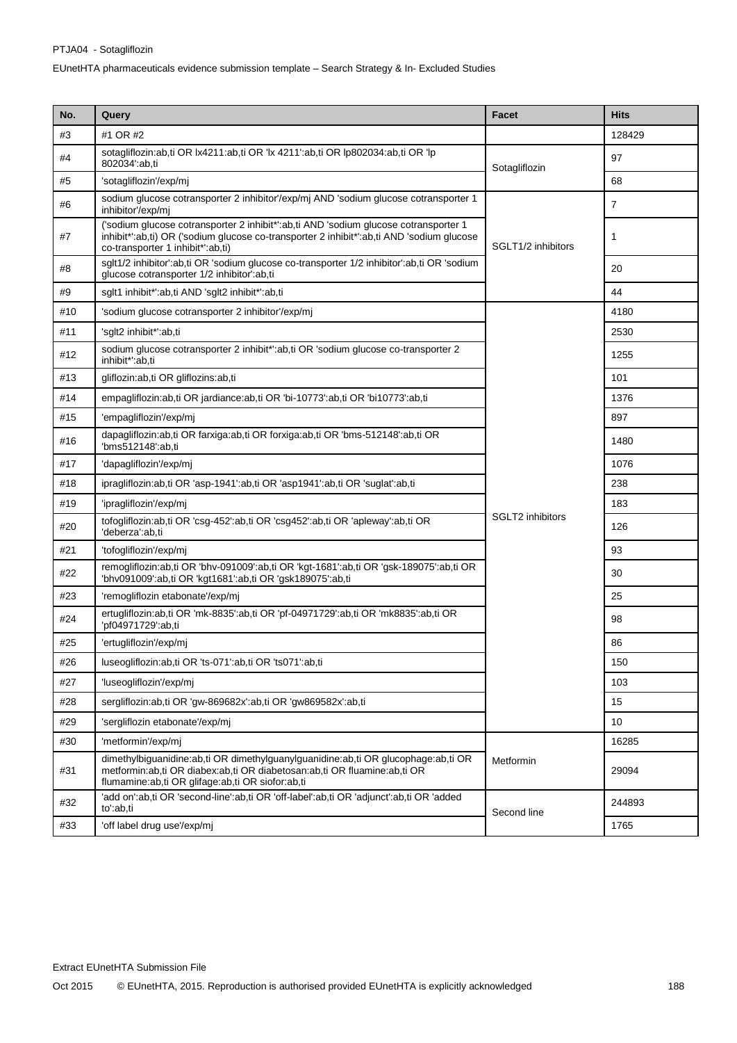| No. | Query                                                                                                                                                                                                                     | Facet              | <b>Hits</b>    |
|-----|---------------------------------------------------------------------------------------------------------------------------------------------------------------------------------------------------------------------------|--------------------|----------------|
| #3  | #1 OR #2                                                                                                                                                                                                                  |                    | 128429         |
| #4  | sotagliflozin:ab,ti OR lx4211:ab,ti OR 'lx 4211':ab,ti OR lp802034:ab,ti OR 'lp<br>802034':ab,ti                                                                                                                          | Sotagliflozin      | 97             |
| #5  | 'sotagliflozin'/exp/mj                                                                                                                                                                                                    |                    | 68             |
| #6  | sodium glucose cotransporter 2 inhibitor'/exp/mj AND 'sodium glucose cotransporter 1<br>inhibitor'/exp/mi                                                                                                                 |                    | $\overline{7}$ |
| #7  | ('sodium glucose cotransporter 2 inhibit*':ab,ti AND 'sodium glucose cotransporter 1<br>inhibit*':ab,ti) OR ('sodium glucose co-transporter 2 inhibit*':ab,ti AND 'sodium glucose<br>co-transporter 1 inhibit*':ab,ti)    | SGLT1/2 inhibitors | 1              |
| #8  | sglt1/2 inhibitor':ab,ti OR 'sodium glucose co-transporter 1/2 inhibitor':ab,ti OR 'sodium<br>glucose cotransporter 1/2 inhibitor':ab,ti                                                                                  |                    | 20             |
| #9  | sglt1 inhibit*':ab,ti AND 'sglt2 inhibit*':ab,ti                                                                                                                                                                          |                    | 44             |
| #10 | 'sodium glucose cotransporter 2 inhibitor'/exp/mj                                                                                                                                                                         |                    | 4180           |
| #11 | 'sglt2 inhibit*':ab,ti                                                                                                                                                                                                    |                    | 2530           |
| #12 | sodium glucose cotransporter 2 inhibit*':ab,ti OR 'sodium glucose co-transporter 2<br>inhibit*':ab,ti                                                                                                                     |                    | 1255           |
| #13 | gliflozin:ab,ti OR gliflozins:ab,ti                                                                                                                                                                                       |                    | 101            |
| #14 | empagliflozin:ab,ti OR jardiance:ab,ti OR 'bi-10773':ab,ti OR 'bi10773':ab,ti                                                                                                                                             |                    | 1376           |
| #15 | 'empagliflozin'/exp/mi                                                                                                                                                                                                    |                    | 897            |
| #16 | dapagliflozin:ab,ti OR farxiga:ab,ti OR forxiga:ab,ti OR 'bms-512148':ab,ti OR<br>'bms512148':ab.ti                                                                                                                       |                    | 1480           |
| #17 | 'dapagliflozin'/exp/mj                                                                                                                                                                                                    |                    | 1076           |
| #18 | ipragliflozin:ab,ti OR 'asp-1941':ab,ti OR 'asp1941':ab,ti OR 'suglat':ab,ti                                                                                                                                              |                    | 238            |
| #19 | 'ipragliflozin'/exp/mj                                                                                                                                                                                                    |                    | 183            |
| #20 | tofogliflozin:ab,ti OR 'csg-452':ab,ti OR 'csg452':ab,ti OR 'apleway':ab,ti OR<br>'deberza':ab,ti                                                                                                                         | SGLT2 inhibitors   | 126            |
| #21 | 'tofogliflozin'/exp/mj                                                                                                                                                                                                    |                    | 93             |
| #22 | remogliflozin:ab,ti OR 'bhv-091009':ab,ti OR 'kgt-1681':ab,ti OR 'gsk-189075':ab,ti OR<br>'bhv091009':ab,ti OR 'kgt1681':ab,ti OR 'gsk189075':ab,ti                                                                       |                    | 30             |
| #23 | 'remogliflozin etabonate'/exp/mj                                                                                                                                                                                          |                    | 25             |
| #24 | ertugliflozin:ab,ti OR 'mk-8835':ab,ti OR 'pf-04971729':ab,ti OR 'mk8835':ab,ti OR<br>'pf04971729':ab,ti                                                                                                                  |                    | 98             |
| #25 | 'ertugliflozin'/exp/mj                                                                                                                                                                                                    |                    | 86             |
| #26 | luseogliflozin:ab,ti OR 'ts-071':ab,ti OR 'ts071':ab,ti                                                                                                                                                                   |                    | 150            |
| #27 | 'luseogliflozin'/exp/mj                                                                                                                                                                                                   |                    | 103            |
| #28 | sergliflozin:ab,ti OR 'gw-869682x':ab,ti OR 'gw869582x':ab,ti                                                                                                                                                             |                    | 15             |
| #29 | 'sergliflozin etabonate'/exp/mj                                                                                                                                                                                           |                    | 10             |
| #30 | 'metformin'/exp/mj                                                                                                                                                                                                        | Metformin          | 16285          |
| #31 | dimethylbiguanidine:ab,ti OR dimethylguanylguanidine:ab,ti OR glucophage:ab,ti OR<br>metformin: ab, ti OR diabex: ab, ti OR diabetosan: ab, ti OR fluamine: ab, ti OR<br>flumamine:ab,ti OR glifage:ab,ti OR siofor:ab,ti |                    | 29094          |
| #32 | 'add on':ab.ti OR 'second-line':ab.ti OR 'off-label':ab.ti OR 'adiunct':ab.ti OR 'added<br>to':ab,ti                                                                                                                      | Second line        | 244893         |
| #33 | 'off label drug use'/exp/mj                                                                                                                                                                                               |                    | 1765           |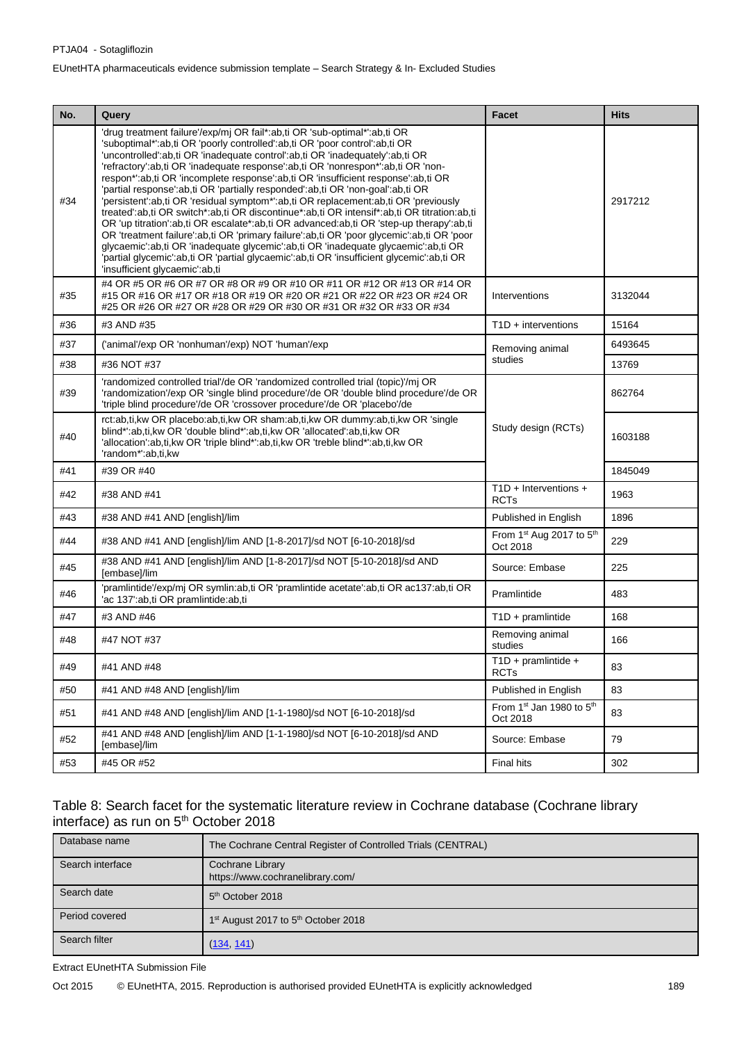| No. | Query                                                                                                                                                                                                                                                                                                                                                                                                                                                                                                                                                                                                                                                                                                                                                                                                                                                                                                                                                                                                                                                                                                   | Facet                                   | <b>Hits</b> |
|-----|---------------------------------------------------------------------------------------------------------------------------------------------------------------------------------------------------------------------------------------------------------------------------------------------------------------------------------------------------------------------------------------------------------------------------------------------------------------------------------------------------------------------------------------------------------------------------------------------------------------------------------------------------------------------------------------------------------------------------------------------------------------------------------------------------------------------------------------------------------------------------------------------------------------------------------------------------------------------------------------------------------------------------------------------------------------------------------------------------------|-----------------------------------------|-------------|
| #34 | 'drug treatment failure'/exp/mj OR fail*:ab,ti OR 'sub-optimal*':ab,ti OR<br>'suboptimal*':ab,ti OR 'poorly controlled':ab,ti OR 'poor control':ab,ti OR<br>'uncontrolled':ab,ti OR 'inadequate control':ab,ti OR 'inadequately':ab,ti OR<br>'refractory':ab,ti OR 'inadequate response':ab,ti OR 'nonrespon*':ab,ti OR 'non-<br>respon*':ab,ti OR 'incomplete response':ab,ti OR 'insufficient response':ab,ti OR<br>'partial response':ab,ti OR 'partially responded':ab,ti OR 'non-goal':ab,ti OR<br>'persistent':ab,ti OR 'residual symptom*':ab,ti OR replacement:ab,ti OR 'previously<br>treated':ab,ti OR switch*:ab,ti OR discontinue*:ab,ti OR intensif*:ab,ti OR titration:ab,ti<br>OR 'up titration':ab,ti OR escalate*:ab,ti OR advanced:ab,ti OR 'step-up therapy':ab,ti<br>OR 'treatment failure':ab,ti OR 'primary failure':ab,ti OR 'poor glycemic':ab,ti OR 'poor<br>glycaemic':ab,ti OR 'inadequate glycemic':ab,ti OR 'inadequate glycaemic':ab,ti OR<br>'partial glycemic':ab,ti OR 'partial glycaemic':ab,ti OR 'insufficient glycemic':ab,ti OR<br>'insufficient glycaemic':ab,ti |                                         | 2917212     |
| #35 | #4 OR #5 OR #6 OR #7 OR #8 OR #9 OR #10 OR #11 OR #12 OR #13 OR #14 OR<br>#15 OR #16 OR #17 OR #18 OR #19 OR #20 OR #21 OR #22 OR #23 OR #24 OR<br>#25 OR #26 OR #27 OR #28 OR #29 OR #30 OR #31 OR #32 OR #33 OR #34                                                                                                                                                                                                                                                                                                                                                                                                                                                                                                                                                                                                                                                                                                                                                                                                                                                                                   | Interventions                           | 3132044     |
| #36 | #3 AND #35                                                                                                                                                                                                                                                                                                                                                                                                                                                                                                                                                                                                                                                                                                                                                                                                                                                                                                                                                                                                                                                                                              | $T1D +$ interventions                   | 15164       |
| #37 | ('animal'/exp OR 'nonhuman'/exp) NOT 'human'/exp                                                                                                                                                                                                                                                                                                                                                                                                                                                                                                                                                                                                                                                                                                                                                                                                                                                                                                                                                                                                                                                        | Removing animal                         | 6493645     |
| #38 | #36 NOT #37                                                                                                                                                                                                                                                                                                                                                                                                                                                                                                                                                                                                                                                                                                                                                                                                                                                                                                                                                                                                                                                                                             | studies                                 | 13769       |
| #39 | 'randomized controlled trial'/de OR 'randomized controlled trial (topic)'/mj OR<br>'randomization'/exp OR 'single blind procedure'/de OR 'double blind procedure'/de OR<br>'triple blind procedure'/de OR 'crossover procedure'/de OR 'placebo'/de                                                                                                                                                                                                                                                                                                                                                                                                                                                                                                                                                                                                                                                                                                                                                                                                                                                      | Study design (RCTs)                     | 862764      |
| #40 | rct:ab,ti,kw OR placebo:ab,ti,kw OR sham:ab,ti,kw OR dummy:ab,ti,kw OR 'single<br>blind*':ab,ti,kw OR 'double blind*':ab,ti,kw OR 'allocated':ab,ti,kw OR<br>'allocation':ab,ti,kw OR 'triple blind*':ab,ti,kw OR 'treble blind*':ab,ti,kw OR<br>'random*':ab,ti,kw                                                                                                                                                                                                                                                                                                                                                                                                                                                                                                                                                                                                                                                                                                                                                                                                                                     |                                         | 1603188     |
| #41 | #39 OR #40                                                                                                                                                                                                                                                                                                                                                                                                                                                                                                                                                                                                                                                                                                                                                                                                                                                                                                                                                                                                                                                                                              |                                         | 1845049     |
| #42 | #38 AND #41                                                                                                                                                                                                                                                                                                                                                                                                                                                                                                                                                                                                                                                                                                                                                                                                                                                                                                                                                                                                                                                                                             | $T1D + Intervenitions +$<br><b>RCTs</b> | 1963        |
| #43 | #38 AND #41 AND [english]/lim                                                                                                                                                                                                                                                                                                                                                                                                                                                                                                                                                                                                                                                                                                                                                                                                                                                                                                                                                                                                                                                                           | Published in English                    | 1896        |
| #44 | #38 AND #41 AND [english]/lim AND [1-8-2017]/sd NOT [6-10-2018]/sd                                                                                                                                                                                                                                                                                                                                                                                                                                                                                                                                                                                                                                                                                                                                                                                                                                                                                                                                                                                                                                      | From 1st Aug 2017 to 5th<br>Oct 2018    | 229         |
| #45 | #38 AND #41 AND [english]/lim AND [1-8-2017]/sd NOT [5-10-2018]/sd AND<br>[embase]/lim                                                                                                                                                                                                                                                                                                                                                                                                                                                                                                                                                                                                                                                                                                                                                                                                                                                                                                                                                                                                                  | Source: Embase                          | 225         |
| #46 | 'pramlintide'/exp/mj OR symlin:ab,ti OR 'pramlintide acetate':ab,ti OR ac137:ab,ti OR<br>'ac 137':ab,ti OR pramlintide:ab,ti                                                                                                                                                                                                                                                                                                                                                                                                                                                                                                                                                                                                                                                                                                                                                                                                                                                                                                                                                                            | Pramlintide                             | 483         |
| #47 | #3 AND #46                                                                                                                                                                                                                                                                                                                                                                                                                                                                                                                                                                                                                                                                                                                                                                                                                                                                                                                                                                                                                                                                                              | $T1D + pramlintide$                     | 168         |
| #48 | #47 NOT #37                                                                                                                                                                                                                                                                                                                                                                                                                                                                                                                                                                                                                                                                                                                                                                                                                                                                                                                                                                                                                                                                                             | Removing animal<br>studies              | 166         |
| #49 | #41 AND #48                                                                                                                                                                                                                                                                                                                                                                                                                                                                                                                                                                                                                                                                                                                                                                                                                                                                                                                                                                                                                                                                                             | $T1D + pramlintide +$<br><b>RCTs</b>    | 83          |
| #50 | #41 AND #48 AND [english]/lim                                                                                                                                                                                                                                                                                                                                                                                                                                                                                                                                                                                                                                                                                                                                                                                                                                                                                                                                                                                                                                                                           | Published in English                    | 83          |
| #51 | #41 AND #48 AND [english]/lim AND [1-1-1980]/sd NOT [6-10-2018]/sd                                                                                                                                                                                                                                                                                                                                                                                                                                                                                                                                                                                                                                                                                                                                                                                                                                                                                                                                                                                                                                      | From 1st Jan 1980 to 5th<br>Oct 2018    | 83          |
| #52 | #41 AND #48 AND [english]/lim AND [1-1-1980]/sd NOT [6-10-2018]/sd AND<br>[embase]/lim                                                                                                                                                                                                                                                                                                                                                                                                                                                                                                                                                                                                                                                                                                                                                                                                                                                                                                                                                                                                                  | Source: Embase                          | 79          |
| #53 | #45 OR #52                                                                                                                                                                                                                                                                                                                                                                                                                                                                                                                                                                                                                                                                                                                                                                                                                                                                                                                                                                                                                                                                                              | Final hits                              | 302         |

#### Table 8: Search facet for the systematic literature review in Cochrane database (Cochrane library interface) as run on 5<sup>th</sup> October 2018

| Database name    | The Cochrane Central Register of Controlled Trials (CENTRAL) |  |
|------------------|--------------------------------------------------------------|--|
| Search interface | Cochrane Library                                             |  |
|                  | https://www.cochranelibrary.com/                             |  |
| Search date      | 5 <sup>th</sup> October 2018                                 |  |
| Period covered   | 1 <sup>st</sup> August 2017 to 5 <sup>th</sup> October 2018  |  |
| Search filter    | (134, 141)                                                   |  |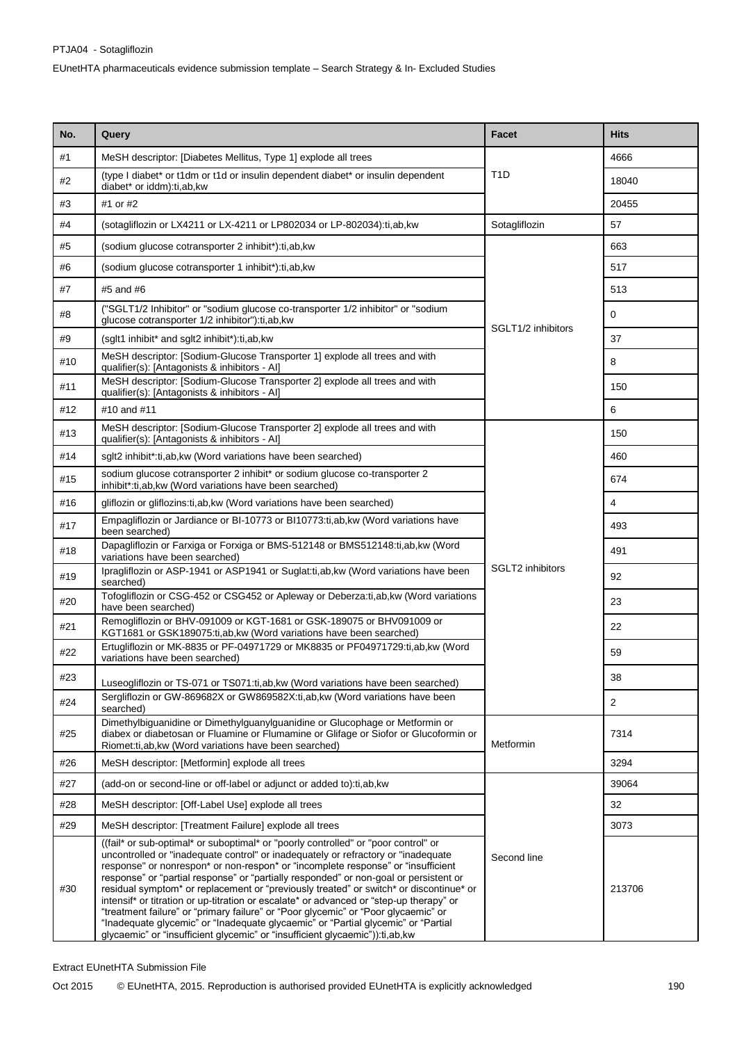| No. | Query                                                                                                                                                                                                                                                                                                                                                                                                                                                                                                                                                                                                                                                                                                                                                                                                 | <b>Facet</b>            | <b>Hits</b> |
|-----|-------------------------------------------------------------------------------------------------------------------------------------------------------------------------------------------------------------------------------------------------------------------------------------------------------------------------------------------------------------------------------------------------------------------------------------------------------------------------------------------------------------------------------------------------------------------------------------------------------------------------------------------------------------------------------------------------------------------------------------------------------------------------------------------------------|-------------------------|-------------|
| #1  | MeSH descriptor: [Diabetes Mellitus, Type 1] explode all trees                                                                                                                                                                                                                                                                                                                                                                                                                                                                                                                                                                                                                                                                                                                                        |                         | 4666        |
| #2  | (type I diabet* or t1dm or t1d or insulin dependent diabet* or insulin dependent<br>diabet* or iddm):ti,ab,kw                                                                                                                                                                                                                                                                                                                                                                                                                                                                                                                                                                                                                                                                                         | T1D                     | 18040       |
| #3  | #1 or #2                                                                                                                                                                                                                                                                                                                                                                                                                                                                                                                                                                                                                                                                                                                                                                                              |                         | 20455       |
| #4  | (sotagliflozin or LX4211 or LX-4211 or LP802034 or LP-802034):ti,ab, kw                                                                                                                                                                                                                                                                                                                                                                                                                                                                                                                                                                                                                                                                                                                               | Sotagliflozin           | 57          |
| #5  | (sodium glucose cotransporter 2 inhibit*):ti,ab,kw                                                                                                                                                                                                                                                                                                                                                                                                                                                                                                                                                                                                                                                                                                                                                    |                         | 663         |
| #6  | (sodium glucose cotransporter 1 inhibit*):ti,ab, kw                                                                                                                                                                                                                                                                                                                                                                                                                                                                                                                                                                                                                                                                                                                                                   |                         | 517         |
| #7  | #5 and #6                                                                                                                                                                                                                                                                                                                                                                                                                                                                                                                                                                                                                                                                                                                                                                                             |                         | 513         |
| #8  | ("SGLT1/2 Inhibitor" or "sodium glucose co-transporter 1/2 inhibitor" or "sodium<br>glucose cotransporter 1/2 inhibitor"):ti,ab,kw                                                                                                                                                                                                                                                                                                                                                                                                                                                                                                                                                                                                                                                                    | SGLT1/2 inhibitors      | 0           |
| #9  | (sglt1 inhibit* and sglt2 inhibit*):ti,ab,kw                                                                                                                                                                                                                                                                                                                                                                                                                                                                                                                                                                                                                                                                                                                                                          |                         | 37          |
| #10 | MeSH descriptor: [Sodium-Glucose Transporter 1] explode all trees and with<br>qualifier(s): [Antagonists & inhibitors - Al]                                                                                                                                                                                                                                                                                                                                                                                                                                                                                                                                                                                                                                                                           |                         | 8           |
| #11 | MeSH descriptor: [Sodium-Glucose Transporter 2] explode all trees and with<br>qualifier(s): [Antagonists & inhibitors - Al]                                                                                                                                                                                                                                                                                                                                                                                                                                                                                                                                                                                                                                                                           |                         | 150         |
| #12 | #10 and #11                                                                                                                                                                                                                                                                                                                                                                                                                                                                                                                                                                                                                                                                                                                                                                                           |                         | 6           |
| #13 | MeSH descriptor: [Sodium-Glucose Transporter 2] explode all trees and with<br>qualifier(s): [Antagonists & inhibitors - Al]                                                                                                                                                                                                                                                                                                                                                                                                                                                                                                                                                                                                                                                                           |                         | 150         |
| #14 | sglt2 inhibit*:ti,ab,kw (Word variations have been searched)                                                                                                                                                                                                                                                                                                                                                                                                                                                                                                                                                                                                                                                                                                                                          |                         | 460         |
| #15 | sodium glucose cotransporter 2 inhibit* or sodium glucose co-transporter 2<br>inhibit*:ti,ab,kw (Word variations have been searched)                                                                                                                                                                                                                                                                                                                                                                                                                                                                                                                                                                                                                                                                  |                         | 674         |
| #16 | gliflozin or gliflozins:ti,ab, kw (Word variations have been searched)                                                                                                                                                                                                                                                                                                                                                                                                                                                                                                                                                                                                                                                                                                                                |                         | 4           |
| #17 | Empagliflozin or Jardiance or BI-10773 or BI10773:ti,ab, kw (Word variations have<br>been searched)                                                                                                                                                                                                                                                                                                                                                                                                                                                                                                                                                                                                                                                                                                   |                         | 493         |
| #18 | Dapagliflozin or Farxiga or Forxiga or BMS-512148 or BMS512148:ti,ab,kw (Word<br>variations have been searched)                                                                                                                                                                                                                                                                                                                                                                                                                                                                                                                                                                                                                                                                                       |                         | 491         |
| #19 | Ipragliflozin or ASP-1941 or ASP1941 or Suglat:ti,ab, kw (Word variations have been<br>searched)                                                                                                                                                                                                                                                                                                                                                                                                                                                                                                                                                                                                                                                                                                      | <b>SGLT2</b> inhibitors | 92          |
| #20 | Tofogliflozin or CSG-452 or CSG452 or Apleway or Deberza:ti,ab,kw (Word variations<br>have been searched)                                                                                                                                                                                                                                                                                                                                                                                                                                                                                                                                                                                                                                                                                             |                         | 23          |
| #21 | Remogliflozin or BHV-091009 or KGT-1681 or GSK-189075 or BHV091009 or<br>KGT1681 or GSK189075:ti, ab, kw (Word variations have been searched)                                                                                                                                                                                                                                                                                                                                                                                                                                                                                                                                                                                                                                                         |                         | 22          |
| #22 | Ertugliflozin or MK-8835 or PF-04971729 or MK8835 or PF04971729:ti,ab,kw (Word<br>variations have been searched)                                                                                                                                                                                                                                                                                                                                                                                                                                                                                                                                                                                                                                                                                      | 59                      |             |
| #23 | 38<br>Luseogliflozin or TS-071 or TS071:ti, ab, kw (Word variations have been searched)                                                                                                                                                                                                                                                                                                                                                                                                                                                                                                                                                                                                                                                                                                               |                         |             |
| #24 | Sergliflozin or GW-869682X or GW869582X:ti,ab,kw (Word variations have been<br>searched)                                                                                                                                                                                                                                                                                                                                                                                                                                                                                                                                                                                                                                                                                                              | $\overline{2}$          |             |
| #25 | Dimethylbiguanidine or Dimethylguanylguanidine or Glucophage or Metformin or<br>diabex or diabetosan or Fluamine or Flumamine or Glifage or Siofor or Glucoformin or<br>Riomet:ti,ab, kw (Word variations have been searched)                                                                                                                                                                                                                                                                                                                                                                                                                                                                                                                                                                         | Metformin               | 7314        |
| #26 | MeSH descriptor: [Metformin] explode all trees                                                                                                                                                                                                                                                                                                                                                                                                                                                                                                                                                                                                                                                                                                                                                        |                         | 3294        |
| #27 | (add-on or second-line or off-label or adjunct or added to):ti,ab, kw                                                                                                                                                                                                                                                                                                                                                                                                                                                                                                                                                                                                                                                                                                                                 |                         | 39064       |
| #28 | MeSH descriptor: [Off-Label Use] explode all trees                                                                                                                                                                                                                                                                                                                                                                                                                                                                                                                                                                                                                                                                                                                                                    |                         | 32          |
| #29 | MeSH descriptor: [Treatment Failure] explode all trees                                                                                                                                                                                                                                                                                                                                                                                                                                                                                                                                                                                                                                                                                                                                                |                         | 3073        |
| #30 | ((fail* or sub-optimal* or suboptimal* or "poorly controlled" or "poor control" or<br>uncontrolled or "inadequate control" or inadequately or refractory or "inadequate"<br>response" or nonrespon* or non-respon* or "incomplete response" or "insufficient<br>response" or "partial response" or "partially responded" or non-goal or persistent or<br>residual symptom* or replacement or "previously treated" or switch* or discontinue* or<br>intensif* or titration or up-titration or escalate* or advanced or "step-up therapy" or<br>"treatment failure" or "primary failure" or "Poor glycemic" or "Poor glycaemic" or<br>"Inadequate glycemic" or "Inadequate glycaemic" or "Partial glycemic" or "Partial<br>glycaemic" or "insufficient glycemic" or "insufficient glycaemic")):ti,ab,kw | Second line             | 213706      |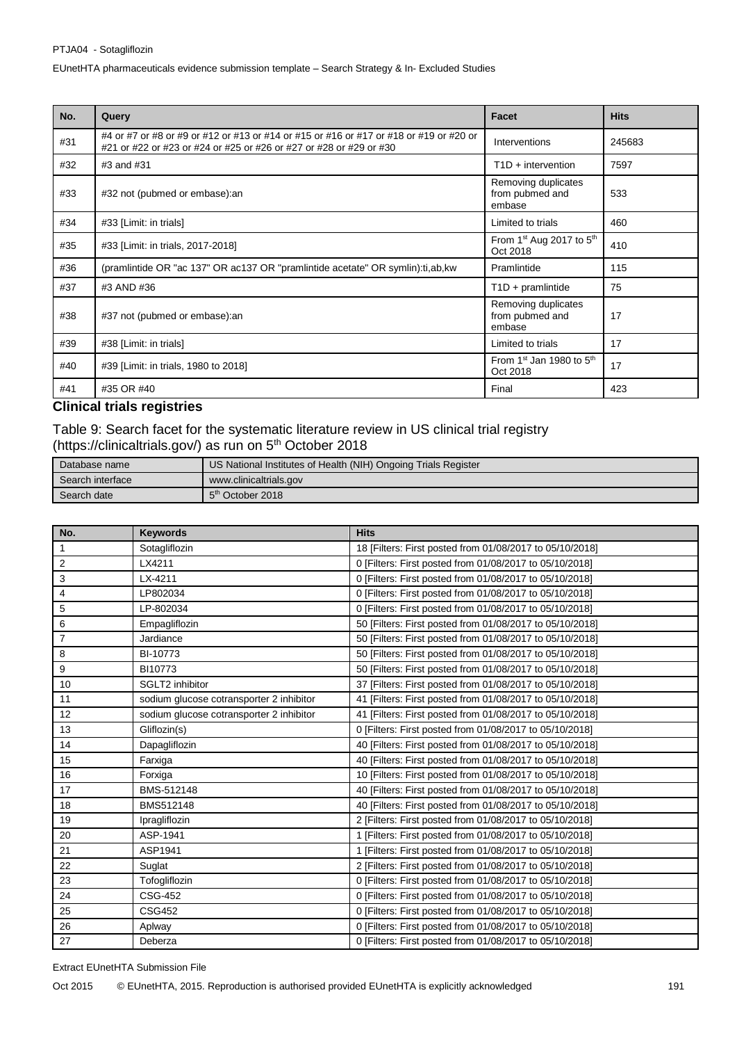| No. | Query                                                                                                                                                        | <b>Facet</b>                                       | <b>Hits</b> |
|-----|--------------------------------------------------------------------------------------------------------------------------------------------------------------|----------------------------------------------------|-------------|
| #31 | #4 or #7 or #8 or #9 or #12 or #13 or #14 or #15 or #16 or #17 or #18 or #19 or #20 or<br>#21 or #22 or #23 or #24 or #25 or #26 or #27 or #28 or #29 or #30 | Interventions                                      | 245683      |
| #32 | #3 and #31                                                                                                                                                   | $T1D +$ intervention                               | 7597        |
| #33 | #32 not (pubmed or embase): an                                                                                                                               | Removing duplicates<br>from pubmed and<br>embase   | 533         |
| #34 | #33 [Limit: in trials]                                                                                                                                       | Limited to trials                                  | 460         |
| #35 | #33 [Limit: in trials, 2017-2018]                                                                                                                            | From $1st$ Aug 2017 to $5th$<br>Oct 2018           | 410         |
| #36 | (pramlintide OR "ac 137" OR ac137 OR "pramlintide acetate" OR symlin):ti,ab,kw                                                                               | Pramlintide                                        | 115         |
| #37 | #3 AND #36                                                                                                                                                   | $T1D + pramlintide$                                | 75          |
| #38 | #37 not (pubmed or embase): an                                                                                                                               | Removing duplicates<br>from pubmed and<br>embase   | 17          |
| #39 | #38 [Limit: in trials]                                                                                                                                       | Limited to trials                                  | 17          |
| #40 | #39 [Limit: in trials, 1980 to 2018]                                                                                                                         | From 1 <sup>st</sup> Jan 1980 to $5th$<br>Oct 2018 | 17          |
| #41 | #35 OR #40                                                                                                                                                   | Final                                              | 423         |

# **Clinical trials registries**

Table 9: Search facet for the systematic literature review in US clinical trial registry (https://clinicaltrials.gov/) as run on 5<sup>th</sup> October 2018

| Database name    | US National Institutes of Health (NIH) Ongoing Trials Register |  |
|------------------|----------------------------------------------------------------|--|
| Search interface | www.clinicaltrials.gov                                         |  |
| Search date      | 5 <sup>th</sup> October 2018                                   |  |

| No.            | <b>Keywords</b>                          | <b>Hits</b>                                              |
|----------------|------------------------------------------|----------------------------------------------------------|
| 1              | Sotagliflozin                            | 18 [Filters: First posted from 01/08/2017 to 05/10/2018] |
| 2              | LX4211                                   | 0 [Filters: First posted from 01/08/2017 to 05/10/2018]  |
| 3              | LX-4211                                  | 0 [Filters: First posted from 01/08/2017 to 05/10/2018]  |
| 4              | LP802034                                 | 0 [Filters: First posted from 01/08/2017 to 05/10/2018]  |
| 5              | LP-802034                                | 0 [Filters: First posted from 01/08/2017 to 05/10/2018]  |
| 6              | Empagliflozin                            | 50 [Filters: First posted from 01/08/2017 to 05/10/2018] |
| $\overline{7}$ | Jardiance                                | 50 [Filters: First posted from 01/08/2017 to 05/10/2018] |
| 8              | BI-10773                                 | 50 [Filters: First posted from 01/08/2017 to 05/10/2018] |
| 9              | BI10773                                  | 50 [Filters: First posted from 01/08/2017 to 05/10/2018] |
| 10             | SGLT2 inhibitor                          | 37 [Filters: First posted from 01/08/2017 to 05/10/2018] |
| 11             | sodium glucose cotransporter 2 inhibitor | 41 [Filters: First posted from 01/08/2017 to 05/10/2018] |
| 12             | sodium glucose cotransporter 2 inhibitor | 41 [Filters: First posted from 01/08/2017 to 05/10/2018] |
| 13             | Gliflozin(s)                             | 0 [Filters: First posted from 01/08/2017 to 05/10/2018]  |
| 14             | Dapagliflozin                            | 40 [Filters: First posted from 01/08/2017 to 05/10/2018] |
| 15             | Farxiga                                  | 40 [Filters: First posted from 01/08/2017 to 05/10/2018] |
| 16             | Forxiga                                  | 10 [Filters: First posted from 01/08/2017 to 05/10/2018] |
| 17             | BMS-512148                               | 40 [Filters: First posted from 01/08/2017 to 05/10/2018] |
| 18             | BMS512148                                | 40 [Filters: First posted from 01/08/2017 to 05/10/2018] |
| 19             | Ipragliflozin                            | 2 [Filters: First posted from 01/08/2017 to 05/10/2018]  |
| 20             | ASP-1941                                 | 1 [Filters: First posted from 01/08/2017 to 05/10/2018]  |
| 21             | ASP1941                                  | 1 [Filters: First posted from 01/08/2017 to 05/10/2018]  |
| 22             | Suglat                                   | 2 [Filters: First posted from 01/08/2017 to 05/10/2018]  |
| 23             | Tofogliflozin                            | 0 [Filters: First posted from 01/08/2017 to 05/10/2018]  |
| 24             | <b>CSG-452</b>                           | 0 [Filters: First posted from 01/08/2017 to 05/10/2018]  |
| 25             | <b>CSG452</b>                            | 0 [Filters: First posted from 01/08/2017 to 05/10/2018]  |
| 26             | Aplway                                   | 0 [Filters: First posted from 01/08/2017 to 05/10/2018]  |
| 27             | Deberza                                  | 0 [Filters: First posted from 01/08/2017 to 05/10/2018]  |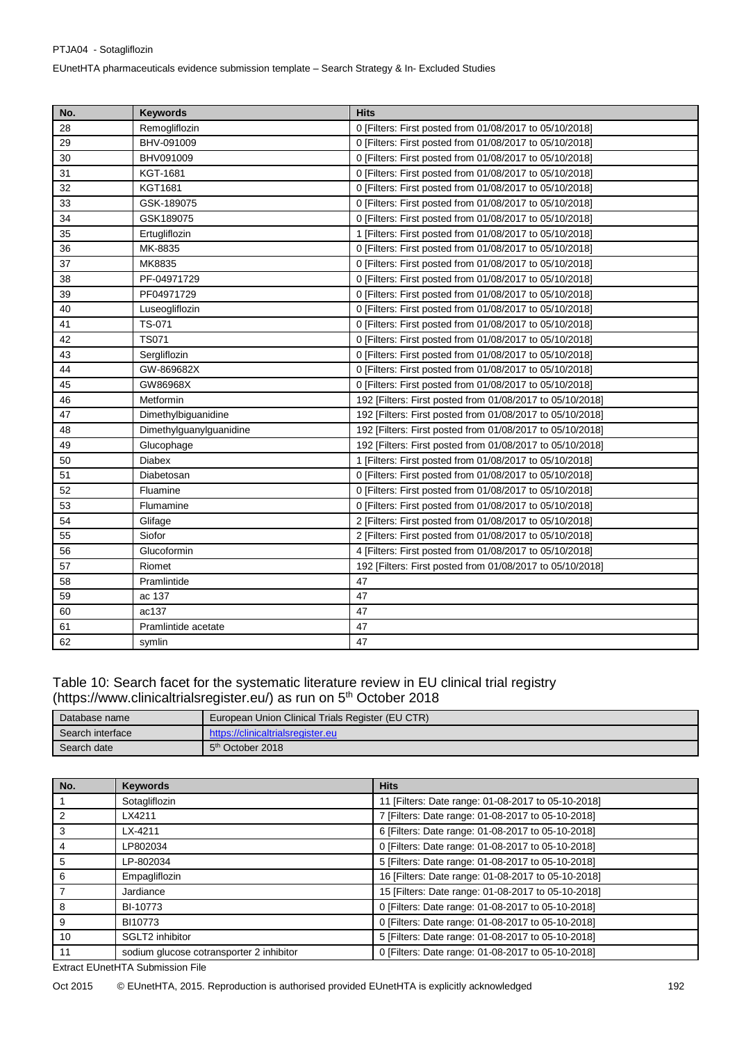| No. | <b>Keywords</b>         | <b>Hits</b>                                               |
|-----|-------------------------|-----------------------------------------------------------|
| 28  | Remogliflozin           | 0 [Filters: First posted from 01/08/2017 to 05/10/2018]   |
| 29  | BHV-091009              | 0 [Filters: First posted from 01/08/2017 to 05/10/2018]   |
| 30  | BHV091009               | 0 [Filters: First posted from 01/08/2017 to 05/10/2018]   |
| 31  | KGT-1681                | 0 [Filters: First posted from 01/08/2017 to 05/10/2018]   |
| 32  | <b>KGT1681</b>          | 0 [Filters: First posted from 01/08/2017 to 05/10/2018]   |
| 33  | GSK-189075              | 0 [Filters: First posted from 01/08/2017 to 05/10/2018]   |
| 34  | GSK189075               | 0 [Filters: First posted from 01/08/2017 to 05/10/2018]   |
| 35  | Ertugliflozin           | 1 [Filters: First posted from 01/08/2017 to 05/10/2018]   |
| 36  | MK-8835                 | 0 [Filters: First posted from 01/08/2017 to 05/10/2018]   |
| 37  | MK8835                  | 0 [Filters: First posted from 01/08/2017 to 05/10/2018]   |
| 38  | PF-04971729             | 0 [Filters: First posted from 01/08/2017 to 05/10/2018]   |
| 39  | PF04971729              | 0 [Filters: First posted from 01/08/2017 to 05/10/2018]   |
| 40  | Luseogliflozin          | 0 [Filters: First posted from 01/08/2017 to 05/10/2018]   |
| 41  | TS-071                  | 0 [Filters: First posted from 01/08/2017 to 05/10/2018]   |
| 42  | <b>TS071</b>            | 0 [Filters: First posted from 01/08/2017 to 05/10/2018]   |
| 43  | Sergliflozin            | 0 [Filters: First posted from 01/08/2017 to 05/10/2018]   |
| 44  | GW-869682X              | 0 [Filters: First posted from 01/08/2017 to 05/10/2018]   |
| 45  | GW86968X                | 0 [Filters: First posted from 01/08/2017 to 05/10/2018]   |
| 46  | Metformin               | 192 [Filters: First posted from 01/08/2017 to 05/10/2018] |
| 47  | Dimethylbiguanidine     | 192 [Filters: First posted from 01/08/2017 to 05/10/2018] |
| 48  | Dimethylguanylguanidine | 192 [Filters: First posted from 01/08/2017 to 05/10/2018] |
| 49  | Glucophage              | 192 [Filters: First posted from 01/08/2017 to 05/10/2018] |
| 50  | <b>Diabex</b>           | 1 [Filters: First posted from 01/08/2017 to 05/10/2018]   |
| 51  | Diabetosan              | 0 [Filters: First posted from 01/08/2017 to 05/10/2018]   |
| 52  | Fluamine                | 0 [Filters: First posted from 01/08/2017 to 05/10/2018]   |
| 53  | Flumamine               | 0 [Filters: First posted from 01/08/2017 to 05/10/2018]   |
| 54  | Glifage                 | 2 [Filters: First posted from 01/08/2017 to 05/10/2018]   |
| 55  | Siofor                  | 2 [Filters: First posted from 01/08/2017 to 05/10/2018]   |
| 56  | Glucoformin             | 4 [Filters: First posted from 01/08/2017 to 05/10/2018]   |
| 57  | Riomet                  | 192 [Filters: First posted from 01/08/2017 to 05/10/2018] |
| 58  | Pramlintide             | 47                                                        |
| 59  | ac 137                  | 47                                                        |
| 60  | ac137                   | 47                                                        |
| 61  | Pramlintide acetate     | 47                                                        |
| 62  | symlin                  | 47                                                        |

### Table 10: Search facet for the systematic literature review in EU clinical trial registry [\(https://www.clinicaltrialsregister.eu/\)](https://www.clinicaltrialsregister.eu/) as run on 5<sup>th</sup> October 2018

| Database name    | European Union Clinical Trials Register (EU CTR) |  |
|------------------|--------------------------------------------------|--|
| Search interface | https://clinicaltrialsregister.eu                |  |
| Search date      | 5 <sup>th</sup> October 2018                     |  |

| No. | Keywords                                 | <b>Hits</b>                                        |
|-----|------------------------------------------|----------------------------------------------------|
|     | Sotagliflozin                            | 11 [Filters: Date range: 01-08-2017 to 05-10-2018] |
|     | LX4211                                   | 7 [Filters: Date range: 01-08-2017 to 05-10-2018]  |
| 3   | $LX-4211$                                | 6 [Filters: Date range: 01-08-2017 to 05-10-2018]  |
|     | LP802034                                 | 0 [Filters: Date range: 01-08-2017 to 05-10-2018]  |
| 5   | LP-802034                                | 5 [Filters: Date range: 01-08-2017 to 05-10-2018]  |
| 6   | Empagliflozin                            | 16 [Filters: Date range: 01-08-2017 to 05-10-2018] |
|     | Jardiance                                | 15 [Filters: Date range: 01-08-2017 to 05-10-2018] |
| 8   | BI-10773                                 | 0 [Filters: Date range: 01-08-2017 to 05-10-2018]  |
| 9   | BI10773                                  | 0 [Filters: Date range: 01-08-2017 to 05-10-2018]  |
| 10  | SGLT2 inhibitor                          | 5 [Filters: Date range: 01-08-2017 to 05-10-2018]  |
| 11  | sodium glucose cotransporter 2 inhibitor | 0 [Filters: Date range: 01-08-2017 to 05-10-2018]  |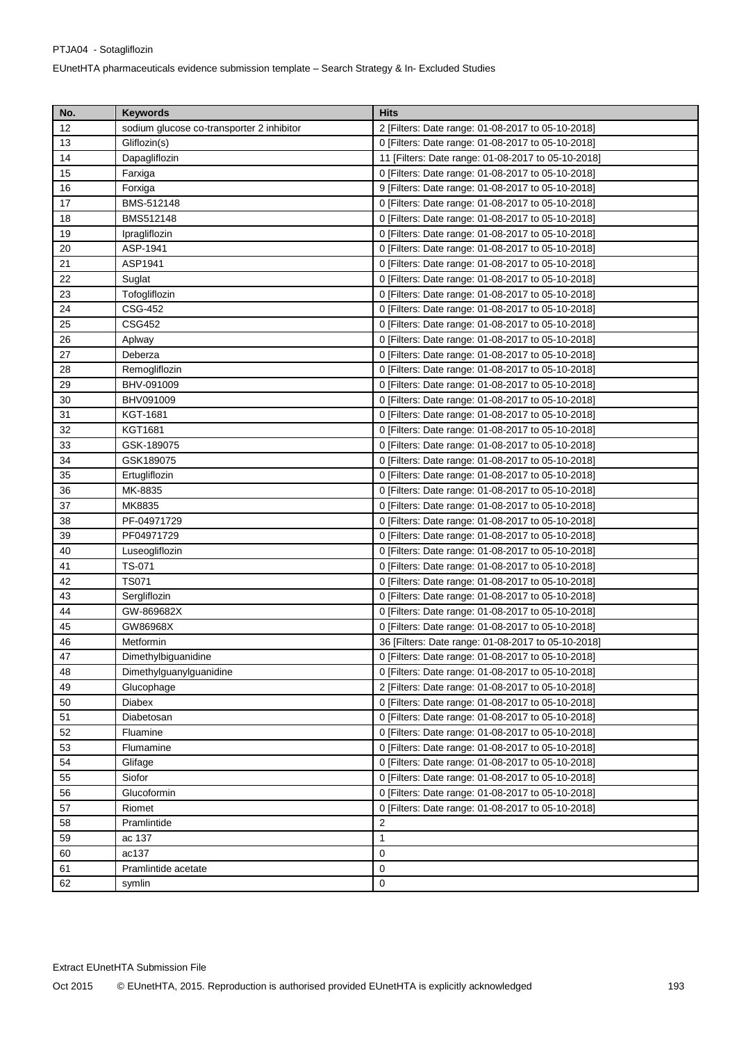| No.    | <b>Keywords</b>                           | <b>Hits</b>                                        |
|--------|-------------------------------------------|----------------------------------------------------|
| 12     | sodium glucose co-transporter 2 inhibitor | 2 [Filters: Date range: 01-08-2017 to 05-10-2018]  |
| 13     | Gliflozin(s)                              | 0 [Filters: Date range: 01-08-2017 to 05-10-2018]  |
| 14     | Dapagliflozin                             | 11 [Filters: Date range: 01-08-2017 to 05-10-2018] |
| 15     | Farxiga                                   | 0 [Filters: Date range: 01-08-2017 to 05-10-2018]  |
| 16     | Forxiga                                   | 9 [Filters: Date range: 01-08-2017 to 05-10-2018]  |
| 17     | BMS-512148                                | 0 [Filters: Date range: 01-08-2017 to 05-10-2018]  |
| 18     | BMS512148                                 | 0 [Filters: Date range: 01-08-2017 to 05-10-2018]  |
| 19     | Ipragliflozin                             | 0 [Filters: Date range: 01-08-2017 to 05-10-2018]  |
| 20     | ASP-1941                                  | 0 [Filters: Date range: 01-08-2017 to 05-10-2018]  |
| 21     | ASP1941                                   | 0 [Filters: Date range: 01-08-2017 to 05-10-2018]  |
| 22     | Suglat                                    | 0 [Filters: Date range: 01-08-2017 to 05-10-2018]  |
| 23     | Tofogliflozin                             | 0 [Filters: Date range: 01-08-2017 to 05-10-2018]  |
| 24     | CSG-452                                   | 0 [Filters: Date range: 01-08-2017 to 05-10-2018]  |
| 25     | CSG452                                    | 0 [Filters: Date range: 01-08-2017 to 05-10-2018]  |
| 26     | Aplway                                    | 0 [Filters: Date range: 01-08-2017 to 05-10-2018]  |
| 27     | Deberza                                   | 0 [Filters: Date range: 01-08-2017 to 05-10-2018]  |
| 28     | Remogliflozin                             | 0 [Filters: Date range: 01-08-2017 to 05-10-2018]  |
| 29     | BHV-091009                                | 0 [Filters: Date range: 01-08-2017 to 05-10-2018]  |
| 30     | BHV091009                                 | 0 [Filters: Date range: 01-08-2017 to 05-10-2018]  |
| 31     | KGT-1681                                  | 0 [Filters: Date range: 01-08-2017 to 05-10-2018]  |
| 32     | KGT1681                                   | 0 [Filters: Date range: 01-08-2017 to 05-10-2018]  |
| 33     | GSK-189075                                | 0 [Filters: Date range: 01-08-2017 to 05-10-2018]  |
| 34     | GSK189075                                 | 0 [Filters: Date range: 01-08-2017 to 05-10-2018]  |
| 35     | Ertugliflozin                             | 0 [Filters: Date range: 01-08-2017 to 05-10-2018]  |
| 36     | MK-8835                                   | 0 [Filters: Date range: 01-08-2017 to 05-10-2018]  |
| 37     | MK8835                                    | 0 [Filters: Date range: 01-08-2017 to 05-10-2018]  |
| 38     | PF-04971729                               | 0 [Filters: Date range: 01-08-2017 to 05-10-2018]  |
| 39     | PF04971729                                | 0 [Filters: Date range: 01-08-2017 to 05-10-2018]  |
| 40     | Luseogliflozin                            | 0 [Filters: Date range: 01-08-2017 to 05-10-2018]  |
| 41     | TS-071                                    | 0 [Filters: Date range: 01-08-2017 to 05-10-2018]  |
| 42     | <b>TS071</b>                              | 0 [Filters: Date range: 01-08-2017 to 05-10-2018]  |
| 43     | Sergliflozin                              | 0 [Filters: Date range: 01-08-2017 to 05-10-2018]  |
| 44     | GW-869682X                                | 0 [Filters: Date range: 01-08-2017 to 05-10-2018]  |
| 45     | GW86968X                                  | 0 [Filters: Date range: 01-08-2017 to 05-10-2018]  |
| 46     | Metformin                                 | 36 [Filters: Date range: 01-08-2017 to 05-10-2018] |
| $47\,$ | Dimethylbiguanidine                       | 0 [Filters: Date range: 01-08-2017 to 05-10-2018]  |
| 48     | Dimethylguanylguanidine                   | 0 [Filters: Date range: 01-08-2017 to 05-10-2018]  |
| 49     | Glucophage                                | 2 [Filters: Date range: 01-08-2017 to 05-10-2018]  |
| 50     | Diabex                                    | 0 [Filters: Date range: 01-08-2017 to 05-10-2018]  |
| 51     | Diabetosan                                | 0 [Filters: Date range: 01-08-2017 to 05-10-2018]  |
| 52     | Fluamine                                  | 0 [Filters: Date range: 01-08-2017 to 05-10-2018]  |
| 53     | Flumamine                                 | 0 [Filters: Date range: 01-08-2017 to 05-10-2018]  |
| 54     | Glifage                                   | 0 [Filters: Date range: 01-08-2017 to 05-10-2018]  |
| 55     | Siofor                                    | 0 [Filters: Date range: 01-08-2017 to 05-10-2018]  |
| 56     | Glucoformin                               | 0 [Filters: Date range: 01-08-2017 to 05-10-2018]  |
| 57     | Riomet                                    | 0 [Filters: Date range: 01-08-2017 to 05-10-2018]  |
| 58     | Pramlintide                               | 2                                                  |
| 59     | ac 137                                    | 1                                                  |
| 60     | ac137                                     | 0                                                  |
| 61     | Pramlintide acetate                       | $\mathbf 0$                                        |
| 62     | symlin                                    | 0                                                  |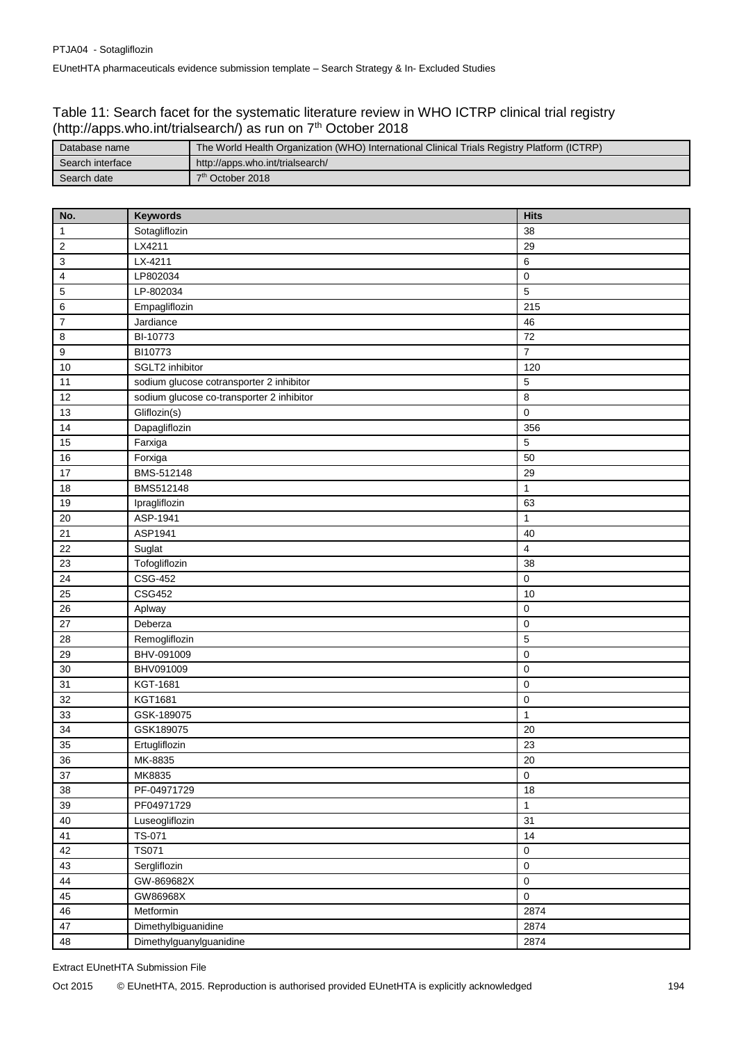### Table 11: Search facet for the systematic literature review in WHO ICTRP clinical trial registry (http://apps.who.int/trialsearch/) as run on 7<sup>th</sup> October 2018

| Database name    | The World Health Organization (WHO) International Clinical Trials Registry Platform (ICTRP) |  |
|------------------|---------------------------------------------------------------------------------------------|--|
| Search interface | http://apps.who.int/trialsearch/                                                            |  |
| Search date      | 7 <sup>th</sup> October 2018                                                                |  |

| No.                       | Keywords                                  | <b>Hits</b>    |
|---------------------------|-------------------------------------------|----------------|
| $\mathbf{1}$              | Sotagliflozin                             | 38             |
| $\sqrt{2}$                | LX4211                                    | 29             |
| $\ensuremath{\mathsf{3}}$ | LX-4211                                   | $\,6$          |
| $\pmb{4}$                 | LP802034                                  | $\pmb{0}$      |
| $\mathbf 5$               | LP-802034                                 | $\overline{5}$ |
| $\,6$                     | Empagliflozin                             | 215            |
| $\overline{7}$            | Jardiance                                 | 46             |
| $\bf8$                    | BI-10773                                  | 72             |
| $\boldsymbol{9}$          | BI10773                                   | $\overline{7}$ |
| 10                        | SGLT2 inhibitor                           | 120            |
| 11                        | sodium glucose cotransporter 2 inhibitor  | $\overline{5}$ |
| 12                        | sodium glucose co-transporter 2 inhibitor | 8              |
| 13                        | Gliflozin(s)                              | $\pmb{0}$      |
| 14                        | Dapagliflozin                             | 356            |
| 15                        | Farxiga                                   | $\mathbf 5$    |
| 16                        | Forxiga                                   | 50             |
| 17                        | BMS-512148                                | 29             |
| 18                        | BMS512148                                 | $\mathbf{1}$   |
| 19                        | Ipragliflozin                             | 63             |
| 20                        | ASP-1941                                  | $\mathbf{1}$   |
| 21                        | ASP1941                                   | 40             |
| 22                        | Suglat                                    | $\overline{4}$ |
| 23                        | Tofogliflozin                             | 38             |
| 24                        | CSG-452                                   | $\pmb{0}$      |
| 25                        | <b>CSG452</b>                             | 10             |
| 26                        | Aplway                                    | $\pmb{0}$      |
| 27                        | Deberza                                   | $\mathbf 0$    |
| 28                        | Remogliflozin                             | $\overline{5}$ |
| 29                        | BHV-091009                                | $\pmb{0}$      |
| 30                        | BHV091009                                 | $\pmb{0}$      |
| 31                        | KGT-1681                                  | $\pmb{0}$      |
| 32                        | KGT1681                                   | $\pmb{0}$      |
| 33                        | GSK-189075                                | $\mathbf{1}$   |
| 34                        | GSK189075                                 | 20             |
| 35                        | Ertugliflozin                             | 23             |
| 36                        | MK-8835                                   | 20             |
| 37                        | MK8835                                    | $\pmb{0}$      |
| 38                        | PF-04971729                               | 18             |
| 39                        | PF04971729                                | $\mathbf{1}$   |
| 40                        | Luseogliflozin                            | 31             |
| 41                        | TS-071                                    | 14             |
| 42                        | <b>TS071</b>                              | $\pmb{0}$      |
| 43                        | Sergliflozin                              | $\pmb{0}$      |
| 44                        | GW-869682X                                | $\pmb{0}$      |
| 45                        | GW86968X                                  | $\pmb{0}$      |
| 46                        | Metformin                                 | 2874           |
| 47                        | Dimethylbiguanidine                       | 2874           |
| 48                        | Dimethylguanylguanidine                   | 2874           |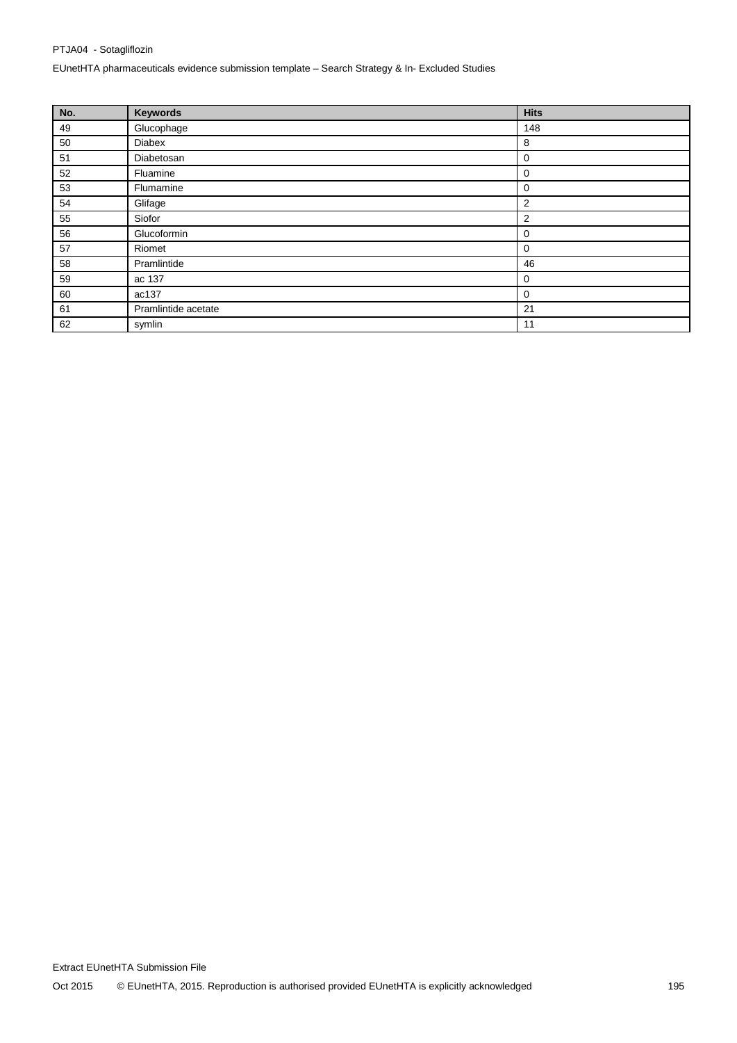## PTJA04 - Sotagliflozin EUnetHTA pharmaceuticals evidence submission template – Search Strategy & In- Excluded Studies

| No. | <b>Keywords</b>     | <b>Hits</b>    |
|-----|---------------------|----------------|
| 49  | Glucophage          | 148            |
| 50  | Diabex              | 8              |
| 51  | Diabetosan          | 0              |
| 52  | Fluamine            | 0              |
| 53  | Flumamine           | 0              |
| 54  | Glifage             | $\overline{2}$ |
| 55  | Siofor              | $\overline{2}$ |
| 56  | Glucoformin         | 0              |
| 57  | Riomet              | 0              |
| 58  | Pramlintide         | 46             |
| 59  | ac 137              | $\mathbf 0$    |
| 60  | ac137               | 0              |
| 61  | Pramlintide acetate | 21             |
| 62  | symlin              | 11             |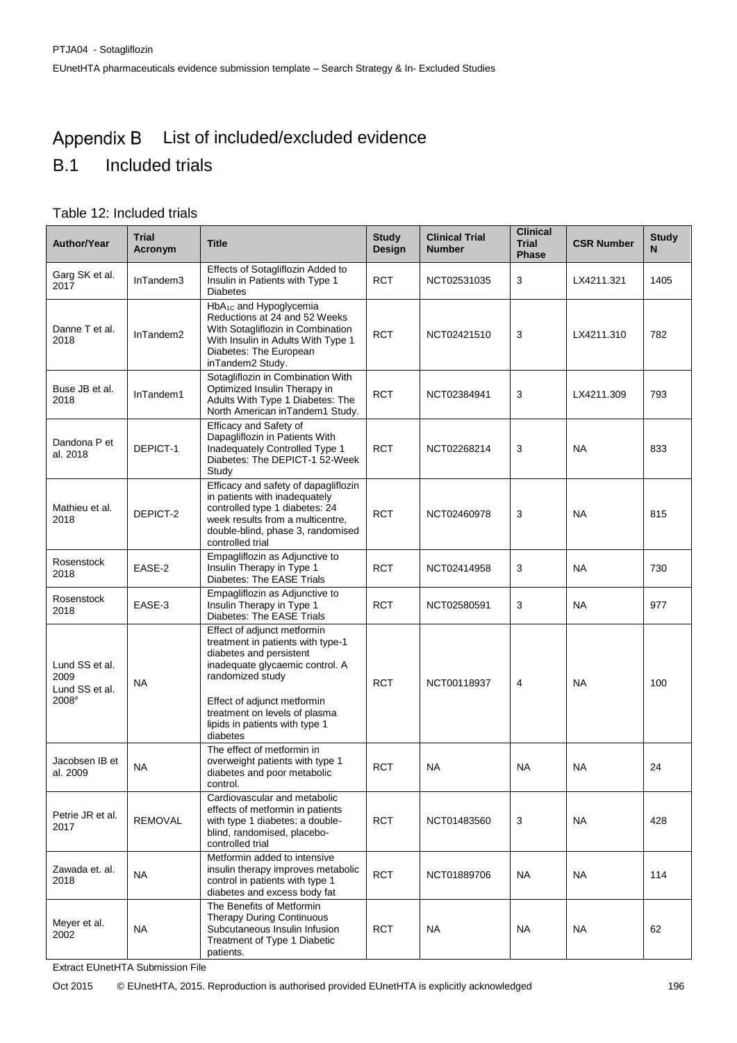#### Appendix B List of included/excluded evidence

# B.1 Included trials

## Table 12: Included trials

| <b>Author/Year</b>                                | <b>Trial</b><br>Acronym | <b>Title</b>                                                                                                                                                                                                                                                     | <b>Study</b><br>Design | <b>Clinical Trial</b><br><b>Number</b> | <b>Clinical</b><br><b>Trial</b><br><b>Phase</b> | <b>CSR Number</b> | <b>Study</b><br>N |
|---------------------------------------------------|-------------------------|------------------------------------------------------------------------------------------------------------------------------------------------------------------------------------------------------------------------------------------------------------------|------------------------|----------------------------------------|-------------------------------------------------|-------------------|-------------------|
| Garg SK et al.<br>2017                            | InTandem3               | Effects of Sotagliflozin Added to<br>Insulin in Patients with Type 1<br><b>Diabetes</b>                                                                                                                                                                          | <b>RCT</b>             | NCT02531035                            | 3                                               | LX4211.321        | 1405              |
| Danne T et al.<br>2018                            | InTandem2               | $HbA_{1C}$ and Hypoglycemia<br>Reductions at 24 and 52 Weeks<br>With Sotagliflozin in Combination<br>With Insulin in Adults With Type 1<br>Diabetes: The European<br>inTandem2 Study.                                                                            | <b>RCT</b>             | NCT02421510                            | 3                                               | LX4211.310        | 782               |
| Buse JB et al.<br>2018                            | InTandem1               | Sotagliflozin in Combination With<br>Optimized Insulin Therapy in<br>Adults With Type 1 Diabetes: The<br>North American inTandem1 Study.                                                                                                                         | <b>RCT</b>             | NCT02384941                            | 3                                               | LX4211.309        | 793               |
| Dandona P et<br>al. 2018                          | DEPICT-1                | Efficacy and Safety of<br>Dapagliflozin in Patients With<br>Inadequately Controlled Type 1<br>Diabetes: The DEPICT-1 52-Week<br>Study                                                                                                                            | <b>RCT</b>             | NCT02268214                            | 3                                               | <b>NA</b>         | 833               |
| Mathieu et al.<br>2018                            | DEPICT-2                | Efficacy and safety of dapagliflozin<br>in patients with inadequately<br>controlled type 1 diabetes: 24<br>week results from a multicentre,<br>double-blind, phase 3, randomised<br>controlled trial                                                             | <b>RCT</b>             | NCT02460978                            | 3                                               | <b>NA</b>         | 815               |
| Rosenstock<br>2018                                | EASE-2                  | Empagliflozin as Adjunctive to<br>Insulin Therapy in Type 1<br>Diabetes: The EASE Trials                                                                                                                                                                         | <b>RCT</b>             | NCT02414958                            | 3                                               | <b>NA</b>         | 730               |
| Rosenstock<br>2018                                | EASE-3                  | Empagliflozin as Adjunctive to<br>Insulin Therapy in Type 1<br>Diabetes: The EASE Trials                                                                                                                                                                         | <b>RCT</b>             | NCT02580591                            | 3                                               | <b>NA</b>         | 977               |
| Lund SS et al.<br>2009<br>Lund SS et al.<br>2008# | <b>NA</b>               | Effect of adjunct metformin<br>treatment in patients with type-1<br>diabetes and persistent<br>inadequate glycaemic control. A<br>randomized study<br>Effect of adjunct metformin<br>treatment on levels of plasma<br>lipids in patients with type 1<br>diabetes | <b>RCT</b>             | NCT00118937                            | 4                                               | <b>NA</b>         | 100               |
| Jacobsen IB et<br>al. 2009                        | <b>NA</b>               | The effect of metformin in<br>overweight patients with type 1<br>diabetes and poor metabolic<br>control.                                                                                                                                                         | <b>RCT</b>             | <b>NA</b>                              | <b>NA</b>                                       | <b>NA</b>         | 24                |
| Petrie JR et al.<br>2017                          | <b>REMOVAL</b>          | Cardiovascular and metabolic<br>effects of metformin in patients<br>with type 1 diabetes: a double-<br>blind, randomised, placebo-<br>controlled trial                                                                                                           | <b>RCT</b>             | NCT01483560                            | 3                                               | <b>NA</b>         | 428               |
| Zawada et. al.<br>2018                            | <b>NA</b>               | Metformin added to intensive<br>insulin therapy improves metabolic<br>control in patients with type 1<br>diabetes and excess body fat                                                                                                                            | <b>RCT</b>             | NCT01889706                            | <b>NA</b>                                       | <b>NA</b>         | 114               |
| Meyer et al.<br>2002                              | <b>NA</b>               | The Benefits of Metformin<br>Therapy During Continuous<br>Subcutaneous Insulin Infusion<br>Treatment of Type 1 Diabetic<br>patients.                                                                                                                             | <b>RCT</b>             | NA                                     | <b>NA</b>                                       | <b>NA</b>         | 62                |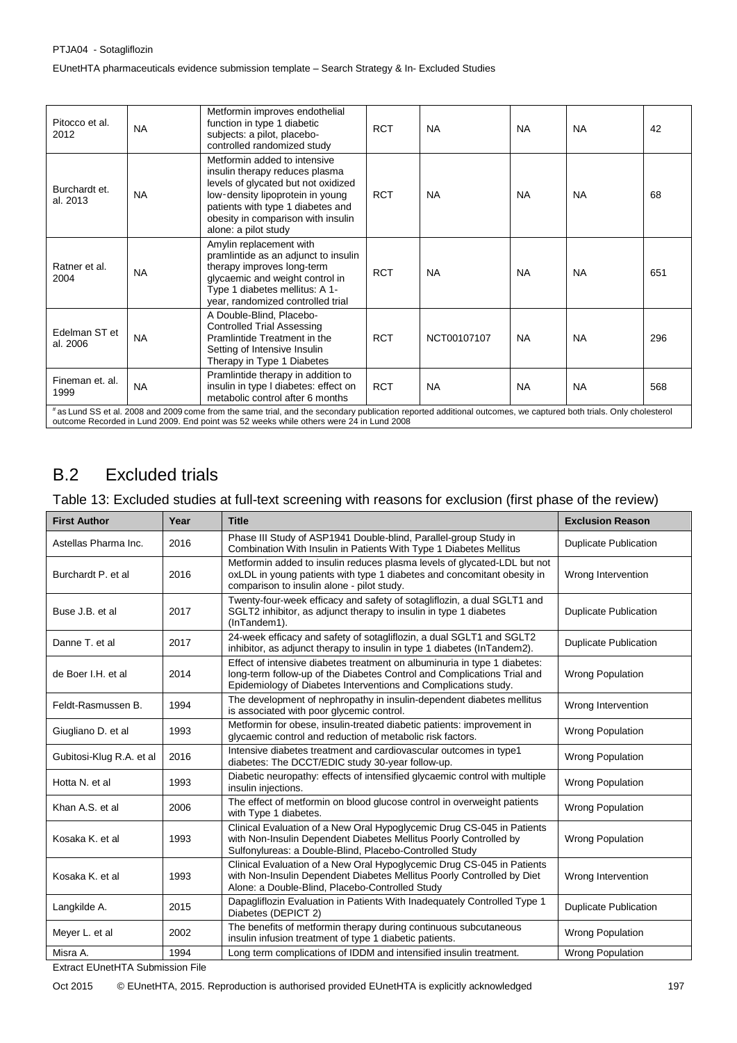| Pitocco et al.<br>2012                                                                                                                                                                                                                                       | <b>NA</b> | Metformin improves endothelial<br>function in type 1 diabetic<br>subjects: a pilot, placebo-<br>controlled randomized study                                                                                                                  | <b>RCT</b> | <b>NA</b>   | <b>NA</b> | <b>NA</b> | 42  |
|--------------------------------------------------------------------------------------------------------------------------------------------------------------------------------------------------------------------------------------------------------------|-----------|----------------------------------------------------------------------------------------------------------------------------------------------------------------------------------------------------------------------------------------------|------------|-------------|-----------|-----------|-----|
| Burchardt et.<br>al. 2013                                                                                                                                                                                                                                    | <b>NA</b> | Metformin added to intensive<br>insulin therapy reduces plasma<br>levels of glycated but not oxidized<br>low-density lipoprotein in young<br>patients with type 1 diabetes and<br>obesity in comparison with insulin<br>alone: a pilot study | <b>RCT</b> | <b>NA</b>   | <b>NA</b> | <b>NA</b> | 68  |
| Ratner et al.<br>2004                                                                                                                                                                                                                                        | <b>NA</b> | Amylin replacement with<br>pramlintide as an adjunct to insulin<br>therapy improves long-term<br>glycaemic and weight control in<br>Type 1 diabetes mellitus: A 1-<br>year, randomized controlled trial                                      | <b>RCT</b> | <b>NA</b>   | <b>NA</b> | <b>NA</b> | 651 |
| Edelman ST et<br>al. 2006                                                                                                                                                                                                                                    | <b>NA</b> | A Double-Blind, Placebo-<br><b>Controlled Trial Assessing</b><br>Pramlintide Treatment in the<br>Setting of Intensive Insulin<br>Therapy in Type 1 Diabetes                                                                                  | <b>RCT</b> | NCT00107107 | <b>NA</b> | <b>NA</b> | 296 |
| Fineman et. al.<br>1999                                                                                                                                                                                                                                      | <b>NA</b> | Pramlintide therapy in addition to<br>insulin in type I diabetes: effect on<br>metabolic control after 6 months                                                                                                                              | <b>RCT</b> | <b>NA</b>   | <b>NA</b> | <b>NA</b> | 568 |
| # as Lund SS et al. 2008 and 2009 come from the same trial, and the secondary publication reported additional outcomes, we captured both trials. Only cholesterol<br>outcome Recorded in Lund 2009. End point was 52 weeks while others were 24 in Lund 2008 |           |                                                                                                                                                                                                                                              |            |             |           |           |     |

# B.2 Excluded trials

## Table 13: Excluded studies at full-text screening with reasons for exclusion (first phase of the review)

| <b>First Author</b>      | Year | <b>Title</b>                                                                                                                                                                                                            | <b>Exclusion Reason</b>      |
|--------------------------|------|-------------------------------------------------------------------------------------------------------------------------------------------------------------------------------------------------------------------------|------------------------------|
| Astellas Pharma Inc.     | 2016 | Phase III Study of ASP1941 Double-blind, Parallel-group Study in<br>Combination With Insulin in Patients With Type 1 Diabetes Mellitus                                                                                  | <b>Duplicate Publication</b> |
| Burchardt P. et al.      | 2016 | Metformin added to insulin reduces plasma levels of glycated-LDL but not<br>oxLDL in young patients with type 1 diabetes and concomitant obesity in<br>comparison to insulin alone - pilot study.                       | Wrong Intervention           |
| Buse J.B. et al          | 2017 | Twenty-four-week efficacy and safety of sotagliflozin, a dual SGLT1 and<br>SGLT2 inhibitor, as adjunct therapy to insulin in type 1 diabetes<br>(InTandem1).                                                            | <b>Duplicate Publication</b> |
| Danne T. et al           | 2017 | 24-week efficacy and safety of sotagliflozin, a dual SGLT1 and SGLT2<br>inhibitor, as adjunct therapy to insulin in type 1 diabetes (InTandem2).                                                                        | <b>Duplicate Publication</b> |
| de Boer I.H. et al       | 2014 | Effect of intensive diabetes treatment on albuminuria in type 1 diabetes:<br>long-term follow-up of the Diabetes Control and Complications Trial and<br>Epidemiology of Diabetes Interventions and Complications study. | <b>Wrong Population</b>      |
| Feldt-Rasmussen B.       | 1994 | The development of nephropathy in insulin-dependent diabetes mellitus<br>is associated with poor glycemic control.                                                                                                      | Wrong Intervention           |
| Giugliano D. et al       | 1993 | Metformin for obese, insulin-treated diabetic patients: improvement in<br>glycaemic control and reduction of metabolic risk factors.                                                                                    | <b>Wrong Population</b>      |
| Gubitosi-Klug R.A. et al | 2016 | Intensive diabetes treatment and cardiovascular outcomes in type1<br>diabetes: The DCCT/EDIC study 30-year follow-up.                                                                                                   | <b>Wrong Population</b>      |
| Hotta N. et al           | 1993 | Diabetic neuropathy: effects of intensified glycaemic control with multiple<br>insulin injections.                                                                                                                      | <b>Wrong Population</b>      |
| Khan A.S. et al          | 2006 | The effect of metformin on blood glucose control in overweight patients<br>with Type 1 diabetes.                                                                                                                        | <b>Wrong Population</b>      |
| Kosaka K. et al          | 1993 | Clinical Evaluation of a New Oral Hypoglycemic Drug CS-045 in Patients<br>with Non-Insulin Dependent Diabetes Mellitus Poorly Controlled by<br>Sulfonylureas: a Double-Blind, Placebo-Controlled Study                  | <b>Wrong Population</b>      |
| Kosaka K, et al          | 1993 | Clinical Evaluation of a New Oral Hypoglycemic Drug CS-045 in Patients<br>with Non-Insulin Dependent Diabetes Mellitus Poorly Controlled by Diet<br>Alone: a Double-Blind, Placebo-Controlled Study                     | Wrong Intervention           |
| Langkilde A.             | 2015 | Dapagliflozin Evaluation in Patients With Inadequately Controlled Type 1<br>Diabetes (DEPICT 2)                                                                                                                         | <b>Duplicate Publication</b> |
| Meyer L. et al           | 2002 | The benefits of metformin therapy during continuous subcutaneous<br>insulin infusion treatment of type 1 diabetic patients.                                                                                             | <b>Wrong Population</b>      |
| Misra A.                 | 1994 | Long term complications of IDDM and intensified insulin treatment.                                                                                                                                                      | <b>Wrong Population</b>      |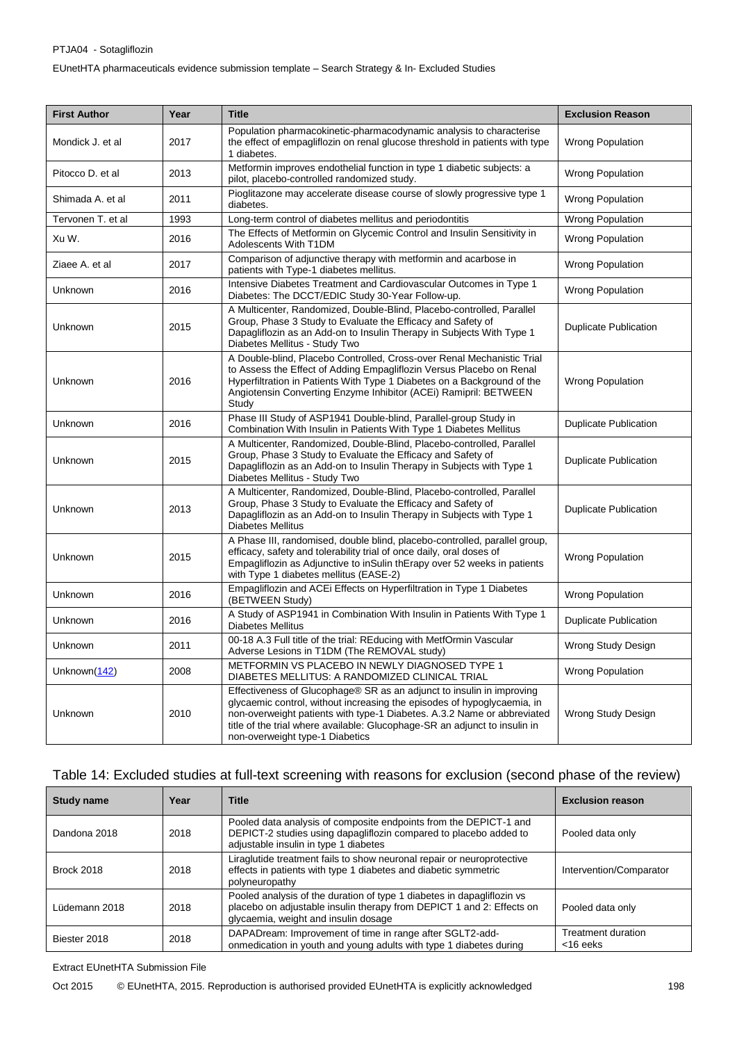| <b>First Author</b> | Year | <b>Title</b>                                                                                                                                                                                                                                                                                                                                 | <b>Exclusion Reason</b>      |
|---------------------|------|----------------------------------------------------------------------------------------------------------------------------------------------------------------------------------------------------------------------------------------------------------------------------------------------------------------------------------------------|------------------------------|
| Mondick J. et al    | 2017 | Population pharmacokinetic-pharmacodynamic analysis to characterise<br>the effect of empagliflozin on renal glucose threshold in patients with type<br>1 diabetes.                                                                                                                                                                           | <b>Wrong Population</b>      |
| Pitocco D. et al    | 2013 | Metformin improves endothelial function in type 1 diabetic subjects: a<br>pilot, placebo-controlled randomized study.                                                                                                                                                                                                                        | <b>Wrong Population</b>      |
| Shimada A, et al    | 2011 | Pioglitazone may accelerate disease course of slowly progressive type 1<br>diabetes.                                                                                                                                                                                                                                                         | <b>Wrong Population</b>      |
| Tervonen T. et al   | 1993 | Long-term control of diabetes mellitus and periodontitis                                                                                                                                                                                                                                                                                     | Wrong Population             |
| Xu W.               | 2016 | The Effects of Metformin on Glycemic Control and Insulin Sensitivity in<br>Adolescents With T1DM                                                                                                                                                                                                                                             | <b>Wrong Population</b>      |
| Ziaee A. et al      | 2017 | Comparison of adjunctive therapy with metformin and acarbose in<br>patients with Type-1 diabetes mellitus.                                                                                                                                                                                                                                   | <b>Wrong Population</b>      |
| Unknown             | 2016 | Intensive Diabetes Treatment and Cardiovascular Outcomes in Type 1<br>Diabetes: The DCCT/EDIC Study 30-Year Follow-up.                                                                                                                                                                                                                       | <b>Wrong Population</b>      |
| Unknown             | 2015 | A Multicenter, Randomized, Double-Blind, Placebo-controlled, Parallel<br>Group, Phase 3 Study to Evaluate the Efficacy and Safety of<br>Dapagliflozin as an Add-on to Insulin Therapy in Subjects With Type 1<br>Diabetes Mellitus - Study Two                                                                                               | <b>Duplicate Publication</b> |
| Unknown             | 2016 | A Double-blind, Placebo Controlled, Cross-over Renal Mechanistic Trial<br>to Assess the Effect of Adding Empagliflozin Versus Placebo on Renal<br>Hyperfiltration in Patients With Type 1 Diabetes on a Background of the<br>Angiotensin Converting Enzyme Inhibitor (ACEi) Ramipril: BETWEEN<br>Study                                       | <b>Wrong Population</b>      |
| Unknown             | 2016 | Phase III Study of ASP1941 Double-blind, Parallel-group Study in<br>Combination With Insulin in Patients With Type 1 Diabetes Mellitus                                                                                                                                                                                                       | <b>Duplicate Publication</b> |
| Unknown             | 2015 | A Multicenter, Randomized, Double-Blind, Placebo-controlled, Parallel<br>Group, Phase 3 Study to Evaluate the Efficacy and Safety of<br>Dapagliflozin as an Add-on to Insulin Therapy in Subjects with Type 1<br>Diabetes Mellitus - Study Two                                                                                               | <b>Duplicate Publication</b> |
| Unknown             | 2013 | A Multicenter, Randomized, Double-Blind, Placebo-controlled, Parallel<br>Group, Phase 3 Study to Evaluate the Efficacy and Safety of<br>Dapagliflozin as an Add-on to Insulin Therapy in Subjects with Type 1<br><b>Diabetes Mellitus</b>                                                                                                    | <b>Duplicate Publication</b> |
| Unknown             | 2015 | A Phase III, randomised, double blind, placebo-controlled, parallel group,<br>efficacy, safety and tolerability trial of once daily, oral doses of<br>Empagliflozin as Adjunctive to inSulin thErapy over 52 weeks in patients<br>with Type 1 diabetes mellitus (EASE-2)                                                                     | <b>Wrong Population</b>      |
| Unknown             | 2016 | Empagliflozin and ACEi Effects on Hyperfiltration in Type 1 Diabetes<br>(BETWEEN Study)                                                                                                                                                                                                                                                      | <b>Wrong Population</b>      |
| Unknown             | 2016 | A Study of ASP1941 in Combination With Insulin in Patients With Type 1<br><b>Diabetes Mellitus</b>                                                                                                                                                                                                                                           | <b>Duplicate Publication</b> |
| Unknown             | 2011 | 00-18 A.3 Full title of the trial: REducing with MetfOrmin Vascular<br>Adverse Lesions in T1DM (The REMOVAL study)                                                                                                                                                                                                                           | Wrong Study Design           |
| Unknown(142)        | 2008 | METFORMIN VS PLACEBO IN NEWLY DIAGNOSED TYPE 1<br>DIABETES MELLITUS: A RANDOMIZED CLINICAL TRIAL                                                                                                                                                                                                                                             | <b>Wrong Population</b>      |
| Unknown             | 2010 | Effectiveness of Glucophage® SR as an adjunct to insulin in improving<br>glycaemic control, without increasing the episodes of hypoglycaemia, in<br>non-overweight patients with type-1 Diabetes. A.3.2 Name or abbreviated<br>title of the trial where available: Glucophage-SR an adjunct to insulin in<br>non-overweight type-1 Diabetics | Wrong Study Design           |

## Table 14: Excluded studies at full-text screening with reasons for exclusion (second phase of the review)

| Study name        | Year | <b>Title</b>                                                                                                                                                                            | <b>Exclusion reason</b>                  |
|-------------------|------|-----------------------------------------------------------------------------------------------------------------------------------------------------------------------------------------|------------------------------------------|
| Dandona 2018      | 2018 | Pooled data analysis of composite endpoints from the DEPICT-1 and<br>DEPICT-2 studies using dapagliflozin compared to placebo added to<br>adjustable insulin in type 1 diabetes         | Pooled data only                         |
| <b>Brock 2018</b> | 2018 | Liraglutide treatment fails to show neuronal repair or neuroprotective<br>effects in patients with type 1 diabetes and diabetic symmetric<br>polyneuropathy                             | Intervention/Comparator                  |
| l üdemann 2018.   | 2018 | Pooled analysis of the duration of type 1 diabetes in dapagliflozin vs<br>placebo on adjustable insulin therapy from DEPICT 1 and 2: Effects on<br>glycaemia, weight and insulin dosage | Pooled data only                         |
| Biester 2018      | 2018 | DAPADream: Improvement of time in range after SGLT2-add-<br>onmedication in youth and young adults with type 1 diabetes during                                                          | <b>Treatment duration</b><br>$<$ 16 eeks |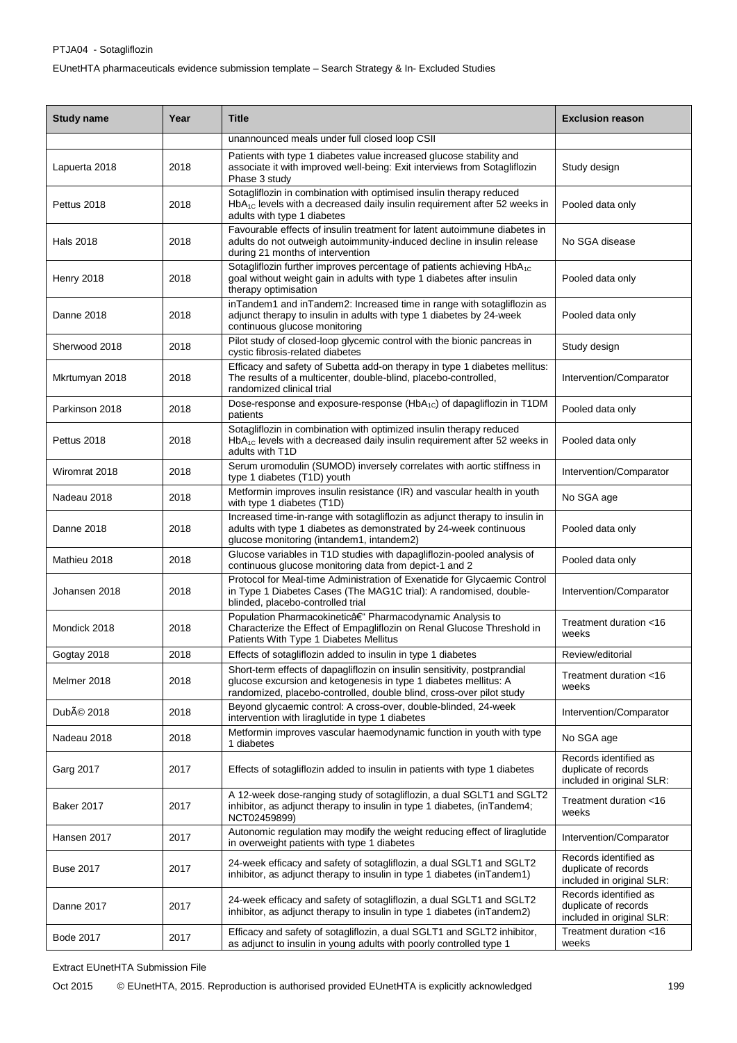## PTJA04 - Sotagliflozin EUnetHTA pharmaceuticals evidence submission template – Search Strategy & In- Excluded Studies

| <b>Study name</b>      | Year | <b>Title</b>                                                                                                                                                                                                         | <b>Exclusion reason</b>                                                    |
|------------------------|------|----------------------------------------------------------------------------------------------------------------------------------------------------------------------------------------------------------------------|----------------------------------------------------------------------------|
|                        |      | unannounced meals under full closed loop CSII                                                                                                                                                                        |                                                                            |
| Lapuerta 2018          | 2018 | Patients with type 1 diabetes value increased glucose stability and<br>associate it with improved well-being: Exit interviews from Sotagliflozin<br>Phase 3 study                                                    | Study design                                                               |
| Pettus 2018            | 2018 | Sotagliflozin in combination with optimised insulin therapy reduced<br>HbA <sub>1C</sub> levels with a decreased daily insulin requirement after 52 weeks in<br>adults with type 1 diabetes                          | Pooled data only                                                           |
| <b>Hals 2018</b>       | 2018 | Favourable effects of insulin treatment for latent autoimmune diabetes in<br>adults do not outweigh autoimmunity-induced decline in insulin release<br>during 21 months of intervention                              | No SGA disease                                                             |
| Henry 2018             | 2018 | Sotagliflozin further improves percentage of patients achieving HbA <sub>1C</sub><br>goal without weight gain in adults with type 1 diabetes after insulin<br>therapy optimisation                                   | Pooled data only                                                           |
| Danne 2018             | 2018 | inTandem1 and inTandem2: Increased time in range with sotagliflozin as<br>adjunct therapy to insulin in adults with type 1 diabetes by 24-week<br>continuous glucose monitoring                                      | Pooled data only                                                           |
| Sherwood 2018          | 2018 | Pilot study of closed-loop glycemic control with the bionic pancreas in<br>cystic fibrosis-related diabetes                                                                                                          | Study design                                                               |
| Mkrtumyan 2018         | 2018 | Efficacy and safety of Subetta add-on therapy in type 1 diabetes mellitus:<br>The results of a multicenter, double-blind, placebo-controlled,<br>randomized clinical trial                                           | Intervention/Comparator                                                    |
| Parkinson 2018         | 2018 | Dose-response and exposure-response (HbA <sub>1C</sub> ) of dapagliflozin in T1DM<br>patients                                                                                                                        | Pooled data only                                                           |
| Pettus 2018            | 2018 | Sotagliflozin in combination with optimized insulin therapy reduced<br>$HbA_{1C}$ levels with a decreased daily insulin requirement after 52 weeks in<br>adults with T1D                                             | Pooled data only                                                           |
| Wiromrat 2018          | 2018 | Serum uromodulin (SUMOD) inversely correlates with aortic stiffness in<br>type 1 diabetes (T1D) youth                                                                                                                | Intervention/Comparator                                                    |
| Nadeau 2018            | 2018 | Metformin improves insulin resistance (IR) and vascular health in youth<br>with type 1 diabetes (T1D)                                                                                                                | No SGA age                                                                 |
| Danne 2018             | 2018 | Increased time-in-range with sotagliflozin as adjunct therapy to insulin in<br>adults with type 1 diabetes as demonstrated by 24-week continuous<br>glucose monitoring (intandem1, intandem2)                        | Pooled data only                                                           |
| Mathieu 2018           | 2018 | Glucose variables in T1D studies with dapagliflozin-pooled analysis of<br>continuous glucose monitoring data from depict-1 and 2                                                                                     | Pooled data only                                                           |
| Johansen 2018          | 2018 | Protocol for Meal-time Administration of Exenatide for Glycaemic Control<br>in Type 1 Diabetes Cases (The MAG1C trial): A randomised, double-<br>blinded, placebo-controlled trial                                   | Intervention/Comparator                                                    |
| Mondick 2018           | 2018 | Population Pharmacokinetic– Pharmacodynamic Analysis to<br>Characterize the Effect of Empagliflozin on Renal Glucose Threshold in<br>Patients With Type 1 Diabetes Mellitus                                          | Treatment duration <16<br>weeks                                            |
| Gogtay 2018            | 2018 | Effects of sotagliflozin added to insulin in type 1 diabetes                                                                                                                                                         | Review/editorial                                                           |
| Melmer 2018            | 2018 | Short-term effects of dapagliflozin on insulin sensitivity, postprandial<br>glucose excursion and ketogenesis in type 1 diabetes mellitus: A<br>randomized, placebo-controlled, double blind, cross-over pilot study | Treatment duration <16<br>weeks                                            |
| DubÃ <sup>©</sup> 2018 | 2018 | Beyond glycaemic control: A cross-over, double-blinded, 24-week<br>intervention with liraglutide in type 1 diabetes                                                                                                  | Intervention/Comparator                                                    |
| Nadeau 2018            | 2018 | Metformin improves vascular haemodynamic function in youth with type<br>1 diabetes                                                                                                                                   | No SGA age                                                                 |
| Garg 2017              | 2017 | Effects of sotagliflozin added to insulin in patients with type 1 diabetes                                                                                                                                           | Records identified as<br>duplicate of records<br>included in original SLR: |
| <b>Baker 2017</b>      | 2017 | A 12-week dose-ranging study of sotagliflozin, a dual SGLT1 and SGLT2<br>inhibitor, as adjunct therapy to insulin in type 1 diabetes, (inTandem4;<br>NCT02459899)                                                    | Treatment duration <16<br>weeks                                            |
| Hansen 2017            | 2017 | Autonomic regulation may modify the weight reducing effect of liraglutide<br>in overweight patients with type 1 diabetes                                                                                             | Intervention/Comparator                                                    |
| <b>Buse 2017</b>       | 2017 | 24-week efficacy and safety of sotagliflozin, a dual SGLT1 and SGLT2<br>inhibitor, as adjunct therapy to insulin in type 1 diabetes (inTandem1)                                                                      | Records identified as<br>duplicate of records<br>included in original SLR: |
| Danne 2017             | 2017 | 24-week efficacy and safety of sotagliflozin, a dual SGLT1 and SGLT2<br>inhibitor, as adjunct therapy to insulin in type 1 diabetes (inTandem2)                                                                      | Records identified as<br>duplicate of records<br>included in original SLR: |
| Bode 2017              | 2017 | Efficacy and safety of sotagliflozin, a dual SGLT1 and SGLT2 inhibitor,<br>as adjunct to insulin in young adults with poorly controlled type 1                                                                       | Treatment duration <16<br>weeks                                            |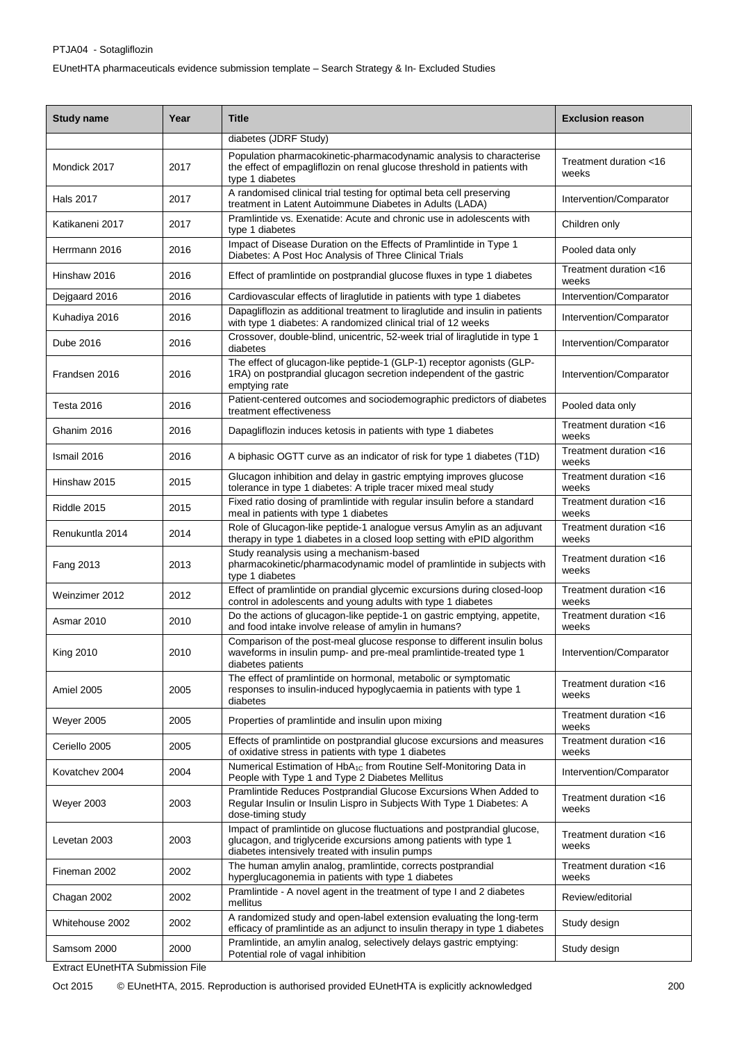| <b>Study name</b> | Year | <b>Title</b>                                                                                                                                                                                   | <b>Exclusion reason</b>         |
|-------------------|------|------------------------------------------------------------------------------------------------------------------------------------------------------------------------------------------------|---------------------------------|
|                   |      | diabetes (JDRF Study)                                                                                                                                                                          |                                 |
| Mondick 2017      | 2017 | Population pharmacokinetic-pharmacodynamic analysis to characterise<br>the effect of empagliflozin on renal glucose threshold in patients with<br>type 1 diabetes                              | Treatment duration <16<br>weeks |
| Hals 2017         | 2017 | A randomised clinical trial testing for optimal beta cell preserving<br>treatment in Latent Autoimmune Diabetes in Adults (LADA)                                                               | Intervention/Comparator         |
| Katikaneni 2017   | 2017 | Pramlintide vs. Exenatide: Acute and chronic use in adolescents with<br>type 1 diabetes                                                                                                        | Children only                   |
| Herrmann 2016     | 2016 | Impact of Disease Duration on the Effects of Pramlintide in Type 1<br>Diabetes: A Post Hoc Analysis of Three Clinical Trials                                                                   | Pooled data only                |
| Hinshaw 2016      | 2016 | Effect of pramlintide on postprandial glucose fluxes in type 1 diabetes                                                                                                                        | Treatment duration <16<br>weeks |
| Dejgaard 2016     | 2016 | Cardiovascular effects of liraglutide in patients with type 1 diabetes                                                                                                                         | Intervention/Comparator         |
| Kuhadiya 2016     | 2016 | Dapagliflozin as additional treatment to liraglutide and insulin in patients<br>with type 1 diabetes: A randomized clinical trial of 12 weeks                                                  | Intervention/Comparator         |
| Dube 2016         | 2016 | Crossover, double-blind, unicentric, 52-week trial of liraglutide in type 1<br>diabetes                                                                                                        | Intervention/Comparator         |
| Frandsen 2016     | 2016 | The effect of glucagon-like peptide-1 (GLP-1) receptor agonists (GLP-<br>1RA) on postprandial glucagon secretion independent of the gastric<br>emptying rate                                   | Intervention/Comparator         |
| Testa 2016        | 2016 | Patient-centered outcomes and sociodemographic predictors of diabetes<br>treatment effectiveness                                                                                               | Pooled data only                |
| Ghanim 2016       | 2016 | Dapagliflozin induces ketosis in patients with type 1 diabetes                                                                                                                                 | Treatment duration <16<br>weeks |
| Ismail 2016       | 2016 | A biphasic OGTT curve as an indicator of risk for type 1 diabetes (T1D)                                                                                                                        | Treatment duration <16<br>weeks |
| Hinshaw 2015      | 2015 | Glucagon inhibition and delay in gastric emptying improves glucose<br>tolerance in type 1 diabetes: A triple tracer mixed meal study                                                           | Treatment duration <16<br>weeks |
| Riddle 2015       | 2015 | Fixed ratio dosing of pramlintide with regular insulin before a standard<br>meal in patients with type 1 diabetes                                                                              | Treatment duration <16<br>weeks |
| Renukuntla 2014   | 2014 | Role of Glucagon-like peptide-1 analogue versus Amylin as an adjuvant<br>therapy in type 1 diabetes in a closed loop setting with ePID algorithm                                               | Treatment duration <16<br>weeks |
| Fang 2013         | 2013 | Study reanalysis using a mechanism-based<br>pharmacokinetic/pharmacodynamic model of pramlintide in subjects with<br>type 1 diabetes                                                           | Treatment duration <16<br>weeks |
| Weinzimer 2012    | 2012 | Effect of pramlintide on prandial glycemic excursions during closed-loop<br>control in adolescents and young adults with type 1 diabetes                                                       | Treatment duration <16<br>weeks |
| Asmar 2010        | 2010 | Do the actions of glucagon-like peptide-1 on gastric emptying, appetite,<br>and food intake involve release of amylin in humans?                                                               | Treatment duration <16<br>weeks |
| <b>King 2010</b>  | 2010 | Comparison of the post-meal glucose response to different insulin bolus<br>waveforms in insulin pump- and pre-meal pramlintide-treated type 1<br>diabetes patients                             | Intervention/Comparator         |
| Amiel 2005        | 2005 | The effect of pramlintide on hormonal, metabolic or symptomatic<br>responses to insulin-induced hypoglycaemia in patients with type 1<br>diabetes                                              | Treatment duration <16<br>weeks |
| Weyer 2005        | 2005 | Properties of pramlintide and insulin upon mixing                                                                                                                                              | Treatment duration <16<br>weeks |
| Ceriello 2005     | 2005 | Effects of pramlintide on postprandial glucose excursions and measures<br>of oxidative stress in patients with type 1 diabetes                                                                 | Treatment duration <16<br>weeks |
| Kovatchev 2004    | 2004 | Numerical Estimation of HbA <sub>1C</sub> from Routine Self-Monitoring Data in<br>People with Type 1 and Type 2 Diabetes Mellitus                                                              | Intervention/Comparator         |
| <b>Weyer 2003</b> | 2003 | Pramlintide Reduces Postprandial Glucose Excursions When Added to<br>Regular Insulin or Insulin Lispro in Subjects With Type 1 Diabetes: A<br>dose-timing study                                | Treatment duration <16<br>weeks |
| Levetan 2003      | 2003 | Impact of pramlintide on glucose fluctuations and postprandial glucose,<br>glucagon, and triglyceride excursions among patients with type 1<br>diabetes intensively treated with insulin pumps | Treatment duration <16<br>weeks |
| Fineman 2002      | 2002 | The human amylin analog, pramlintide, corrects postprandial<br>hyperglucagonemia in patients with type 1 diabetes                                                                              | Treatment duration <16<br>weeks |
| Chagan 2002       | 2002 | Pramlintide - A novel agent in the treatment of type I and 2 diabetes<br>mellitus                                                                                                              | Review/editorial                |
| Whitehouse 2002   | 2002 | A randomized study and open-label extension evaluating the long-term<br>efficacy of pramlintide as an adjunct to insulin therapy in type 1 diabetes                                            | Study design                    |
| Samsom 2000       | 2000 | Pramlintide, an amylin analog, selectively delays gastric emptying:<br>Potential role of vagal inhibition                                                                                      | Study design                    |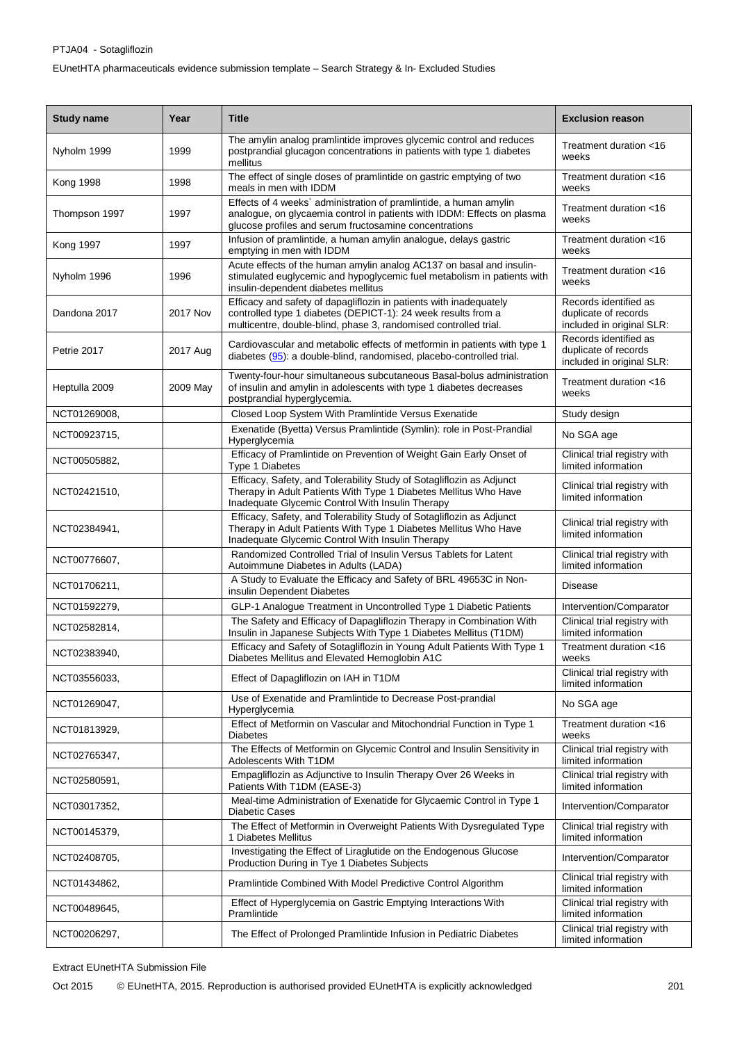## PTJA04 - Sotagliflozin EUnetHTA pharmaceuticals evidence submission template – Search Strategy & In- Excluded Studies

| <b>Study name</b> | Year            | <b>Title</b>                                                                                                                                                                                            | <b>Exclusion reason</b>                                                    |
|-------------------|-----------------|---------------------------------------------------------------------------------------------------------------------------------------------------------------------------------------------------------|----------------------------------------------------------------------------|
| Nyholm 1999       | 1999            | The amylin analog pramlintide improves glycemic control and reduces<br>postprandial glucagon concentrations in patients with type 1 diabetes<br>mellitus                                                | Treatment duration <16<br>weeks                                            |
| <b>Kong 1998</b>  | 1998            | The effect of single doses of pramlintide on gastric emptying of two<br>meals in men with IDDM                                                                                                          | Treatment duration <16<br>weeks                                            |
| Thompson 1997     | 1997            | Effects of 4 weeks` administration of pramlintide, a human amylin<br>analogue, on glycaemia control in patients with IDDM: Effects on plasma<br>glucose profiles and serum fructosamine concentrations  | Treatment duration <16<br>weeks                                            |
| <b>Kong 1997</b>  | 1997            | Infusion of pramlintide, a human amylin analogue, delays gastric<br>emptying in men with IDDM                                                                                                           | Treatment duration <16<br>weeks                                            |
| Nyholm 1996       | 1996            | Acute effects of the human amylin analog AC137 on basal and insulin-<br>stimulated euglycemic and hypoglycemic fuel metabolism in patients with<br>insulin-dependent diabetes mellitus                  | Treatment duration <16<br>weeks                                            |
| Dandona 2017      | <b>2017 Nov</b> | Efficacy and safety of dapagliflozin in patients with inadequately<br>controlled type 1 diabetes (DEPICT-1): 24 week results from a<br>multicentre, double-blind, phase 3, randomised controlled trial. | Records identified as<br>duplicate of records<br>included in original SLR: |
| Petrie 2017       | 2017 Aug        | Cardiovascular and metabolic effects of metformin in patients with type 1<br>diabetes (95): a double-blind, randomised, placebo-controlled trial.                                                       | Records identified as<br>duplicate of records<br>included in original SLR: |
| Heptulla 2009     | 2009 May        | Twenty-four-hour simultaneous subcutaneous Basal-bolus administration<br>of insulin and amylin in adolescents with type 1 diabetes decreases<br>postprandial hyperglycemia.                             | Treatment duration <16<br>weeks                                            |
| NCT01269008,      |                 | Closed Loop System With Pramlintide Versus Exenatide                                                                                                                                                    | Study design                                                               |
| NCT00923715,      |                 | Exenatide (Byetta) Versus Pramlintide (Symlin): role in Post-Prandial<br>Hyperglycemia                                                                                                                  | No SGA age                                                                 |
| NCT00505882,      |                 | Efficacy of Pramlintide on Prevention of Weight Gain Early Onset of<br>Type 1 Diabetes                                                                                                                  | Clinical trial registry with<br>limited information                        |
| NCT02421510,      |                 | Efficacy, Safety, and Tolerability Study of Sotagliflozin as Adjunct<br>Therapy in Adult Patients With Type 1 Diabetes Mellitus Who Have<br>Inadequate Glycemic Control With Insulin Therapy            | Clinical trial registry with<br>limited information                        |
| NCT02384941,      |                 | Efficacy, Safety, and Tolerability Study of Sotagliflozin as Adjunct<br>Therapy in Adult Patients With Type 1 Diabetes Mellitus Who Have<br>Inadequate Glycemic Control With Insulin Therapy            | Clinical trial registry with<br>limited information                        |
| NCT00776607,      |                 | Randomized Controlled Trial of Insulin Versus Tablets for Latent<br>Autoimmune Diabetes in Adults (LADA)                                                                                                | Clinical trial registry with<br>limited information                        |
| NCT01706211,      |                 | A Study to Evaluate the Efficacy and Safety of BRL 49653C in Non-<br>insulin Dependent Diabetes                                                                                                         | <b>Disease</b>                                                             |
| NCT01592279,      |                 | GLP-1 Analogue Treatment in Uncontrolled Type 1 Diabetic Patients                                                                                                                                       | Intervention/Comparator                                                    |
| NCT02582814,      |                 | The Safety and Efficacy of Dapagliflozin Therapy in Combination With<br>Insulin in Japanese Subjects With Type 1 Diabetes Mellitus (T1DM)                                                               | Clinical trial registry with<br>limited information                        |
| NCT02383940,      |                 | Efficacy and Safety of Sotagliflozin in Young Adult Patients With Type 1<br>Diabetes Mellitus and Elevated Hemoglobin A1C                                                                               | Treatment duration <16<br>weeks                                            |
| NCT03556033.      |                 | Effect of Dapagliflozin on IAH in T1DM                                                                                                                                                                  | Clinical trial registry with<br>limited information                        |
| NCT01269047,      |                 | Use of Exenatide and Pramlintide to Decrease Post-prandial<br>Hyperglycemia                                                                                                                             | No SGA age                                                                 |
| NCT01813929,      |                 | Effect of Metformin on Vascular and Mitochondrial Function in Type 1<br><b>Diabetes</b>                                                                                                                 | Treatment duration <16<br>weeks                                            |
| NCT02765347,      |                 | The Effects of Metformin on Glycemic Control and Insulin Sensitivity in<br>Adolescents With T1DM                                                                                                        | Clinical trial registry with<br>limited information                        |
| NCT02580591,      |                 | Empagliflozin as Adjunctive to Insulin Therapy Over 26 Weeks in<br>Patients With T1DM (EASE-3)                                                                                                          | Clinical trial registry with<br>limited information                        |
| NCT03017352,      |                 | Meal-time Administration of Exenatide for Glycaemic Control in Type 1<br><b>Diabetic Cases</b>                                                                                                          | Intervention/Comparator                                                    |
| NCT00145379,      |                 | The Effect of Metformin in Overweight Patients With Dysregulated Type<br>1 Diabetes Mellitus                                                                                                            | Clinical trial registry with<br>limited information                        |
| NCT02408705,      |                 | Investigating the Effect of Liraglutide on the Endogenous Glucose<br>Production During in Tye 1 Diabetes Subjects                                                                                       | Intervention/Comparator                                                    |
| NCT01434862,      |                 | Pramlintide Combined With Model Predictive Control Algorithm                                                                                                                                            | Clinical trial registry with<br>limited information                        |
| NCT00489645,      |                 | Effect of Hyperglycemia on Gastric Emptying Interactions With<br>Pramlintide                                                                                                                            | Clinical trial registry with<br>limited information                        |
| NCT00206297,      |                 | The Effect of Prolonged Pramlintide Infusion in Pediatric Diabetes                                                                                                                                      | Clinical trial registry with<br>limited information                        |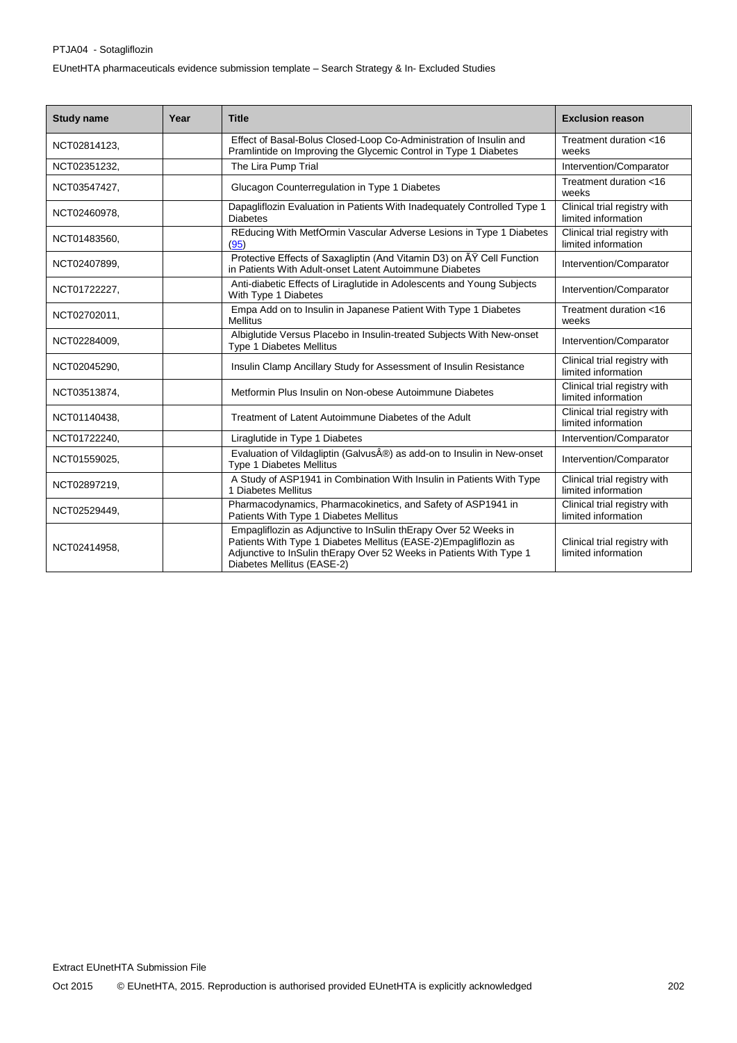#### PTJA04 - Sotagliflozin

EUnetHTA pharmaceuticals evidence submission template – Search Strategy & In- Excluded Studies

| <b>Study name</b> | Year | <b>Title</b>                                                                                                                                                                                                                            | <b>Exclusion reason</b>                             |
|-------------------|------|-----------------------------------------------------------------------------------------------------------------------------------------------------------------------------------------------------------------------------------------|-----------------------------------------------------|
| NCT02814123,      |      | Effect of Basal-Bolus Closed-Loop Co-Administration of Insulin and<br>Pramlintide on Improving the Glycemic Control in Type 1 Diabetes                                                                                                  | Treatment duration <16<br>weeks                     |
| NCT02351232.      |      | The Lira Pump Trial                                                                                                                                                                                                                     | Intervention/Comparator                             |
| NCT03547427,      |      | Glucagon Counterregulation in Type 1 Diabetes                                                                                                                                                                                           | Treatment duration <16<br>weeks                     |
| NCT02460978,      |      | Dapagliflozin Evaluation in Patients With Inadequately Controlled Type 1<br><b>Diabetes</b>                                                                                                                                             | Clinical trial registry with<br>limited information |
| NCT01483560,      |      | REducing With MetfOrmin Vascular Adverse Lesions in Type 1 Diabetes<br>(95)                                                                                                                                                             | Clinical trial registry with<br>limited information |
| NCT02407899,      |      | Protective Effects of Saxagliptin (And Vitamin D3) on AY Cell Function<br>in Patients With Adult-onset Latent Autoimmune Diabetes                                                                                                       | Intervention/Comparator                             |
| NCT01722227,      |      | Anti-diabetic Effects of Liraglutide in Adolescents and Young Subjects<br>With Type 1 Diabetes                                                                                                                                          | Intervention/Comparator                             |
| NCT02702011,      |      | Empa Add on to Insulin in Japanese Patient With Type 1 Diabetes<br><b>Mellitus</b>                                                                                                                                                      | Treatment duration <16<br>weeks                     |
| NCT02284009,      |      | Albiglutide Versus Placebo in Insulin-treated Subjects With New-onset<br><b>Type 1 Diabetes Mellitus</b>                                                                                                                                | Intervention/Comparator                             |
| NCT02045290,      |      | Insulin Clamp Ancillary Study for Assessment of Insulin Resistance                                                                                                                                                                      | Clinical trial registry with<br>limited information |
| NCT03513874,      |      | Metformin Plus Insulin on Non-obese Autoimmune Diabetes                                                                                                                                                                                 | Clinical trial registry with<br>limited information |
| NCT01140438,      |      | Treatment of Latent Autoimmune Diabetes of the Adult                                                                                                                                                                                    | Clinical trial registry with<br>limited information |
| NCT01722240,      |      | Liraglutide in Type 1 Diabetes                                                                                                                                                                                                          | Intervention/Comparator                             |
| NCT01559025,      |      | Evaluation of Vildagliptin (Galvus®) as add-on to Insulin in New-onset<br><b>Type 1 Diabetes Mellitus</b>                                                                                                                               | Intervention/Comparator                             |
| NCT02897219,      |      | A Study of ASP1941 in Combination With Insulin in Patients With Type<br>1 Diabetes Mellitus                                                                                                                                             | Clinical trial registry with<br>limited information |
| NCT02529449,      |      | Pharmacodynamics, Pharmacokinetics, and Safety of ASP1941 in<br>Patients With Type 1 Diabetes Mellitus                                                                                                                                  | Clinical trial registry with<br>limited information |
| NCT02414958,      |      | Empagliflozin as Adjunctive to InSulin thErapy Over 52 Weeks in<br>Patients With Type 1 Diabetes Mellitus (EASE-2)Empagliflozin as<br>Adjunctive to InSulin thErapy Over 52 Weeks in Patients With Type 1<br>Diabetes Mellitus (EASE-2) | Clinical trial registry with<br>limited information |